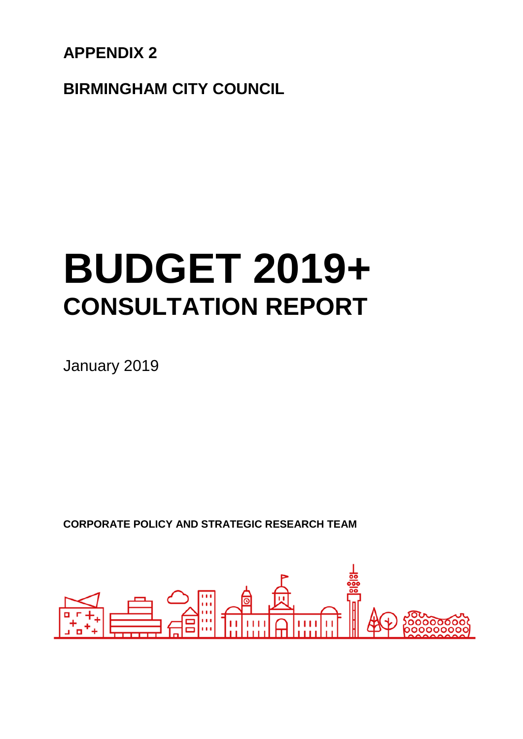**APPENDIX 2**

**BIRMINGHAM CITY COUNCIL**

# **BUDGET 2019+ CONSULTATION REPORT**

January 2019

**CORPORATE POLICY AND STRATEGIC RESEARCH TEAM**

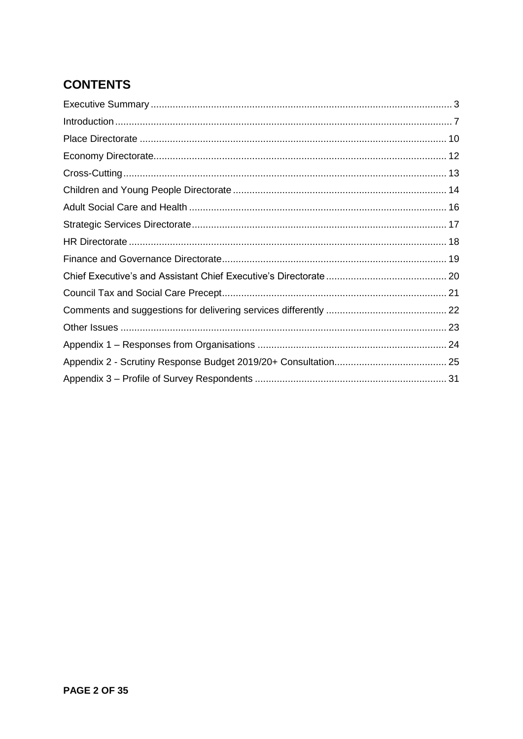### **CONTENTS**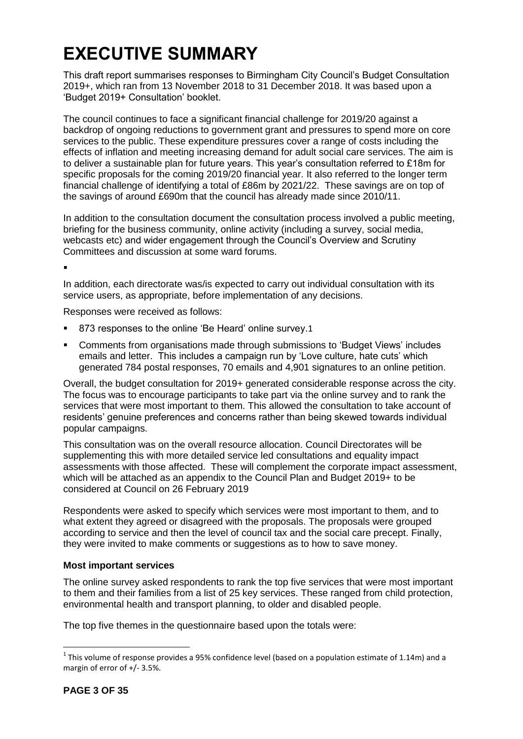# <span id="page-2-0"></span>**EXECUTIVE SUMMARY**

This draft report summarises responses to Birmingham City Council's Budget Consultation 2019+, which ran from 13 November 2018 to 31 December 2018. It was based upon a 'Budget 2019+ Consultation' booklet.

The council continues to face a significant financial challenge for 2019/20 against a backdrop of ongoing reductions to government grant and pressures to spend more on core services to the public. These expenditure pressures cover a range of costs including the effects of inflation and meeting increasing demand for adult social care services. The aim is to deliver a sustainable plan for future years. This year's consultation referred to £18m for specific proposals for the coming 2019/20 financial year. It also referred to the longer term financial challenge of identifying a total of £86m by 2021/22. These savings are on top of the savings of around £690m that the council has already made since 2010/11.

In addition to the consultation document the consultation process involved a public meeting, briefing for the business community, online activity (including a survey, social media, webcasts etc) and wider engagement through the Council's Overview and Scrutiny Committees and discussion at some ward forums.

.

In addition, each directorate was/is expected to carry out individual consultation with its service users, as appropriate, before implementation of any decisions.

Responses were received as follows:

- 873 responses to the online 'Be Heard' online survey.1
- Comments from organisations made through submissions to 'Budget Views' includes emails and letter. This includes a campaign run by 'Love culture, hate cuts' which generated 784 postal responses, 70 emails and 4,901 signatures to an online petition.

Overall, the budget consultation for 2019+ generated considerable response across the city. The focus was to encourage participants to take part via the online survey and to rank the services that were most important to them. This allowed the consultation to take account of residents' genuine preferences and concerns rather than being skewed towards individual popular campaigns.

This consultation was on the overall resource allocation. Council Directorates will be supplementing this with more detailed service led consultations and equality impact assessments with those affected. These will complement the corporate impact assessment, which will be attached as an appendix to the Council Plan and Budget 2019+ to be considered at Council on 26 February 2019

Respondents were asked to specify which services were most important to them, and to what extent they agreed or disagreed with the proposals. The proposals were grouped according to service and then the level of council tax and the social care precept. Finally, they were invited to make comments or suggestions as to how to save money.

### **Most important services**

The online survey asked respondents to rank the top five services that were most important to them and their families from a list of 25 key services. These ranged from child protection, environmental health and transport planning, to older and disabled people.

The top five themes in the questionnaire based upon the totals were:

1

 $1$  This volume of response provides a 95% confidence level (based on a population estimate of 1.14m) and a margin of error of +/- 3.5%.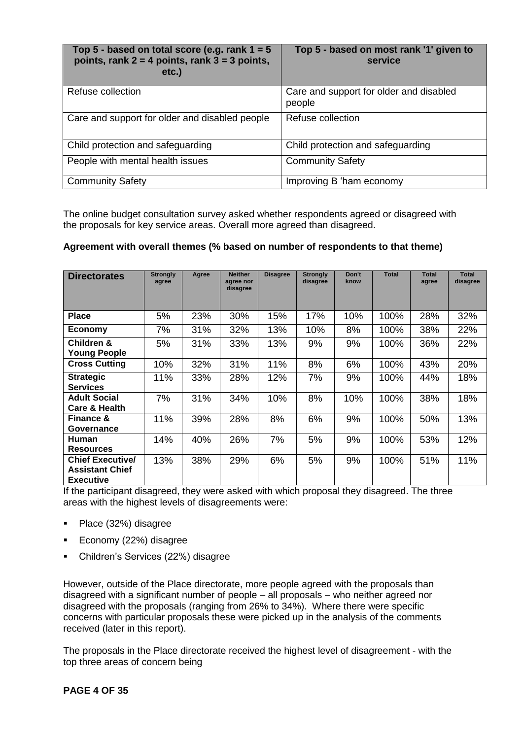| Top 5 - based on total score (e.g. rank $1 = 5$<br>points, rank $2 = 4$ points, rank $3 = 3$ points,<br>$etc.$ ) | Top 5 - based on most rank '1' given to<br>service |
|------------------------------------------------------------------------------------------------------------------|----------------------------------------------------|
| Refuse collection                                                                                                | Care and support for older and disabled<br>people  |
| Care and support for older and disabled people                                                                   | Refuse collection                                  |
| Child protection and safeguarding                                                                                | Child protection and safeguarding                  |
| People with mental health issues                                                                                 | <b>Community Safety</b>                            |
| <b>Community Safety</b>                                                                                          | Improving B 'ham economy                           |

The online budget consultation survey asked whether respondents agreed or disagreed with the proposals for key service areas. Overall more agreed than disagreed.

### **Agreement with overall themes (% based on number of respondents to that theme)**

| <b>Directorates</b>                                                   | <b>Strongly</b><br>agree | Agree | <b>Neither</b><br>agree nor<br>disagree | <b>Disagree</b> | <b>Strongly</b><br>disagree | Don't<br>know | <b>Total</b> | <b>Total</b><br>agree | <b>Total</b><br>disagree |
|-----------------------------------------------------------------------|--------------------------|-------|-----------------------------------------|-----------------|-----------------------------|---------------|--------------|-----------------------|--------------------------|
|                                                                       |                          |       |                                         |                 |                             |               |              |                       |                          |
| <b>Place</b>                                                          | 5%                       | 23%   | 30%                                     | 15%             | 17%                         | 10%           | 100%         | 28%                   | 32%                      |
| <b>Economy</b>                                                        | 7%                       | 31%   | 32%                                     | 13%             | 10%                         | 8%            | 100%         | 38%                   | 22%                      |
| Children &<br><b>Young People</b>                                     | 5%                       | 31%   | 33%                                     | 13%             | 9%                          | 9%            | 100%         | 36%                   | 22%                      |
| <b>Cross Cutting</b>                                                  | 10%                      | 32%   | 31%                                     | 11%             | 8%                          | 6%            | 100%         | 43%                   | 20%                      |
| <b>Strategic</b><br><b>Services</b>                                   | 11%                      | 33%   | 28%                                     | 12%             | 7%                          | 9%            | 100%         | 44%                   | 18%                      |
| <b>Adult Social</b><br>Care & Health                                  | 7%                       | 31%   | 34%                                     | 10%             | 8%                          | 10%           | 100%         | 38%                   | 18%                      |
| <b>Finance &amp;</b><br>Governance                                    | 11%                      | 39%   | 28%                                     | 8%              | 6%                          | 9%            | 100%         | 50%                   | 13%                      |
| Human<br><b>Resources</b>                                             | 14%                      | 40%   | 26%                                     | 7%              | 5%                          | 9%            | 100%         | 53%                   | 12%                      |
| <b>Chief Executive/</b><br><b>Assistant Chief</b><br><b>Executive</b> | 13%                      | 38%   | 29%                                     | 6%              | 5%                          | 9%            | 100%         | 51%                   | 11%                      |

If the participant disagreed, they were asked with which proposal they disagreed. The three areas with the highest levels of disagreements were:

- Place (32%) disagree
- Economy (22%) disagree
- Children's Services (22%) disagree

However, outside of the Place directorate, more people agreed with the proposals than disagreed with a significant number of people – all proposals – who neither agreed nor disagreed with the proposals (ranging from 26% to 34%). Where there were specific concerns with particular proposals these were picked up in the analysis of the comments received (later in this report).

The proposals in the Place directorate received the highest level of disagreement - with the top three areas of concern being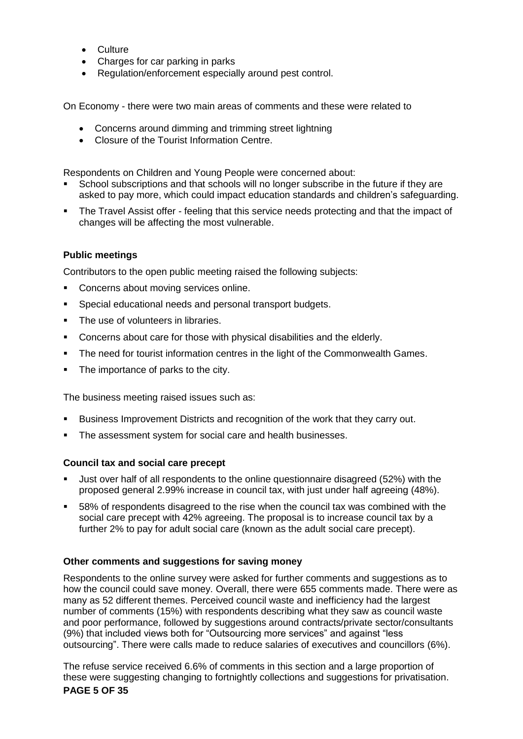- **•** Culture
- Charges for car parking in parks
- Regulation/enforcement especially around pest control.

On Economy - there were two main areas of comments and these were related to

- Concerns around dimming and trimming street lightning
- Closure of the Tourist Information Centre.

Respondents on Children and Young People were concerned about:

- School subscriptions and that schools will no longer subscribe in the future if they are asked to pay more, which could impact education standards and children's safeguarding.
- The Travel Assist offer feeling that this service needs protecting and that the impact of changes will be affecting the most vulnerable.

### **Public meetings**

Contributors to the open public meeting raised the following subjects:

- **Concerns about moving services online.**
- Special educational needs and personal transport budgets.
- The use of volunteers in libraries.
- **Concerns about care for those with physical disabilities and the elderly.**
- The need for tourist information centres in the light of the Commonwealth Games.
- The importance of parks to the city.

The business meeting raised issues such as:

- Business Improvement Districts and recognition of the work that they carry out.
- The assessment system for social care and health businesses.

### **Council tax and social care precept**

- Just over half of all respondents to the online questionnaire disagreed (52%) with the proposed general 2.99% increase in council tax, with just under half agreeing (48%).
- 58% of respondents disagreed to the rise when the council tax was combined with the social care precept with 42% agreeing. The proposal is to increase council tax by a further 2% to pay for adult social care (known as the adult social care precept).

### **Other comments and suggestions for saving money**

Respondents to the online survey were asked for further comments and suggestions as to how the council could save money. Overall, there were 655 comments made. There were as many as 52 different themes. Perceived council waste and inefficiency had the largest number of comments (15%) with respondents describing what they saw as council waste and poor performance, followed by suggestions around contracts/private sector/consultants (9%) that included views both for "Outsourcing more services" and against "less outsourcing". There were calls made to reduce salaries of executives and councillors (6%).

The refuse service received 6.6% of comments in this section and a large proportion of these were suggesting changing to fortnightly collections and suggestions for privatisation.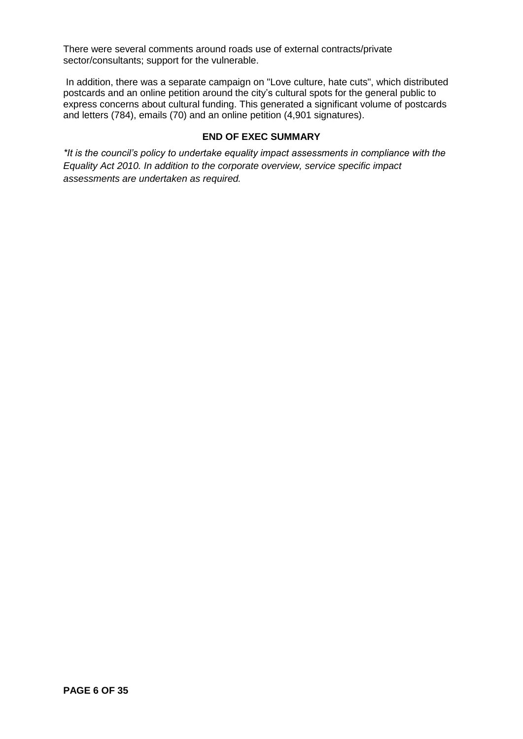There were several comments around roads use of external contracts/private sector/consultants; support for the vulnerable.

In addition, there was a separate campaign on "Love culture, hate cuts", which distributed postcards and an online petition around the city's cultural spots for the general public to express concerns about cultural funding. This generated a significant volume of postcards and letters (784), emails (70) and an online petition (4,901 signatures).

### **END OF EXEC SUMMARY**

*\*It is the council's policy to undertake equality impact assessments in compliance with the Equality Act 2010. In addition to the corporate overview, service specific impact assessments are undertaken as required.*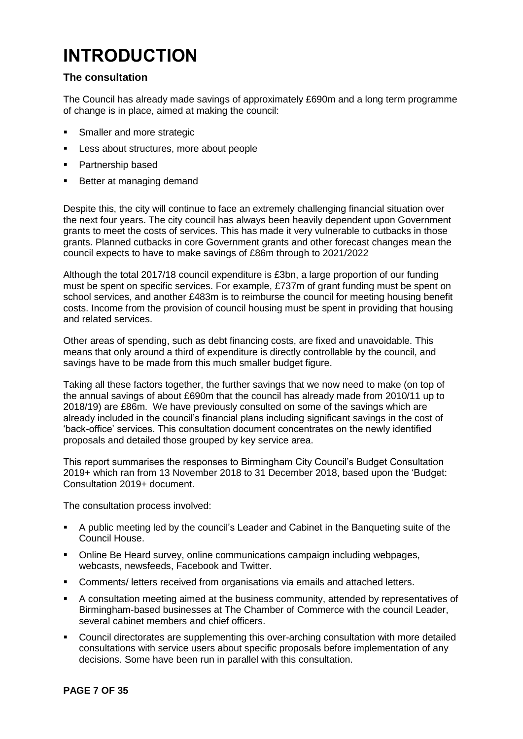# <span id="page-6-0"></span>**INTRODUCTION**

### **The consultation**

The Council has already made savings of approximately £690m and a long term programme of change is in place, aimed at making the council:

- Smaller and more strategic
- **Less about structures, more about people**
- Partnership based
- **Better at managing demand**

Despite this, the city will continue to face an extremely challenging financial situation over the next four years. The city council has always been heavily dependent upon Government grants to meet the costs of services. This has made it very vulnerable to cutbacks in those grants. Planned cutbacks in core Government grants and other forecast changes mean the council expects to have to make savings of £86m through to 2021/2022

Although the total 2017/18 council expenditure is £3bn, a large proportion of our funding must be spent on specific services. For example, £737m of grant funding must be spent on school services, and another £483m is to reimburse the council for meeting housing benefit costs. Income from the provision of council housing must be spent in providing that housing and related services.

Other areas of spending, such as debt financing costs, are fixed and unavoidable. This means that only around a third of expenditure is directly controllable by the council, and savings have to be made from this much smaller budget figure.

Taking all these factors together, the further savings that we now need to make (on top of the annual savings of about £690m that the council has already made from 2010/11 up to 2018/19) are £86m. We have previously consulted on some of the savings which are already included in the council's financial plans including significant savings in the cost of 'back-office' services. This consultation document concentrates on the newly identified proposals and detailed those grouped by key service area.

This report summarises the responses to Birmingham City Council's Budget Consultation 2019+ which ran from 13 November 2018 to 31 December 2018, based upon the 'Budget: Consultation 2019+ document.

The consultation process involved:

- A public meeting led by the council's Leader and Cabinet in the Banqueting suite of the Council House.
- Online Be Heard survey, online communications campaign including webpages, webcasts, newsfeeds, Facebook and Twitter.
- Comments/ letters received from organisations via emails and attached letters.
- A consultation meeting aimed at the business community, attended by representatives of Birmingham-based businesses at The Chamber of Commerce with the council Leader, several cabinet members and chief officers.
- Council directorates are supplementing this over-arching consultation with more detailed consultations with service users about specific proposals before implementation of any decisions. Some have been run in parallel with this consultation.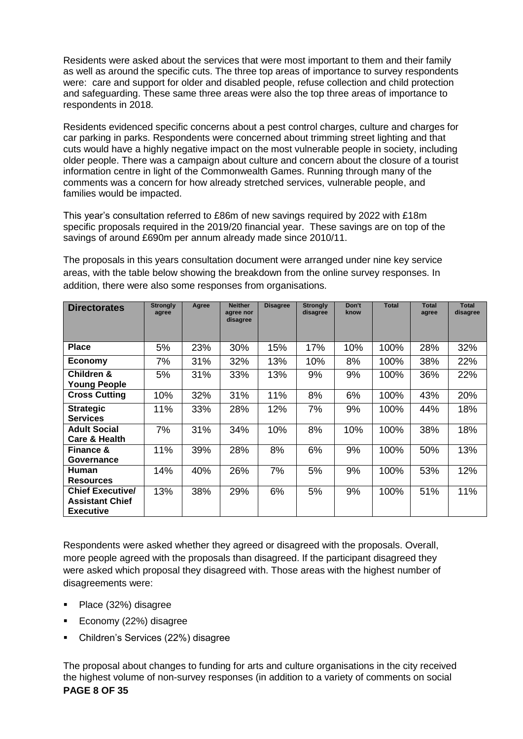Residents were asked about the services that were most important to them and their family as well as around the specific cuts. The three top areas of importance to survey respondents were: care and support for older and disabled people, refuse collection and child protection and safeguarding. These same three areas were also the top three areas of importance to respondents in 2018.

Residents evidenced specific concerns about a pest control charges, culture and charges for car parking in parks. Respondents were concerned about trimming street lighting and that cuts would have a highly negative impact on the most vulnerable people in society, including older people. There was a campaign about culture and concern about the closure of a tourist information centre in light of the Commonwealth Games. Running through many of the comments was a concern for how already stretched services, vulnerable people, and families would be impacted.

This year's consultation referred to £86m of new savings required by 2022 with £18m specific proposals required in the 2019/20 financial year. These savings are on top of the savings of around £690m per annum already made since 2010/11.

The proposals in this years consultation document were arranged under nine key service areas, with the table below showing the breakdown from the online survey responses. In addition, there were also some responses from organisations.

| <b>Directorates</b>                                                   | <b>Strongly</b><br>agree | Agree | <b>Neither</b><br>agree nor<br>disagree | <b>Disagree</b> | <b>Strongly</b><br>disagree | Don't<br>know | <b>Total</b> | <b>Total</b><br>agree | <b>Total</b><br>disagree |
|-----------------------------------------------------------------------|--------------------------|-------|-----------------------------------------|-----------------|-----------------------------|---------------|--------------|-----------------------|--------------------------|
| <b>Place</b>                                                          | 5%                       | 23%   | 30%                                     | 15%             | 17%                         | 10%           | 100%         | 28%                   | 32%                      |
| <b>Economy</b>                                                        | 7%                       | 31%   | 32%                                     | 13%             | 10%                         | 8%            | 100%         | 38%                   | 22%                      |
| Children &<br><b>Young People</b>                                     | 5%                       | 31%   | 33%                                     | 13%             | 9%                          | 9%            | 100%         | 36%                   | 22%                      |
| <b>Cross Cutting</b>                                                  | 10%                      | 32%   | 31%                                     | 11%             | 8%                          | 6%            | 100%         | 43%                   | 20%                      |
| <b>Strategic</b><br><b>Services</b>                                   | 11%                      | 33%   | 28%                                     | 12%             | 7%                          | 9%            | 100%         | 44%                   | 18%                      |
| <b>Adult Social</b><br><b>Care &amp; Health</b>                       | 7%                       | 31%   | 34%                                     | 10%             | 8%                          | 10%           | 100%         | 38%                   | 18%                      |
| <b>Finance &amp;</b><br>Governance                                    | 11%                      | 39%   | 28%                                     | 8%              | 6%                          | 9%            | 100%         | 50%                   | 13%                      |
| Human<br><b>Resources</b>                                             | 14%                      | 40%   | 26%                                     | 7%              | 5%                          | 9%            | 100%         | 53%                   | 12%                      |
| <b>Chief Executive/</b><br><b>Assistant Chief</b><br><b>Executive</b> | 13%                      | 38%   | 29%                                     | 6%              | 5%                          | 9%            | 100%         | 51%                   | 11%                      |

Respondents were asked whether they agreed or disagreed with the proposals. Overall, more people agreed with the proposals than disagreed. If the participant disagreed they were asked which proposal they disagreed with. Those areas with the highest number of disagreements were:

- Place (32%) disagree
- **Economy (22%) disagree**
- Children's Services (22%) disagree

**PAGE 8 OF 35** The proposal about changes to funding for arts and culture organisations in the city received the highest volume of non-survey responses (in addition to a variety of comments on social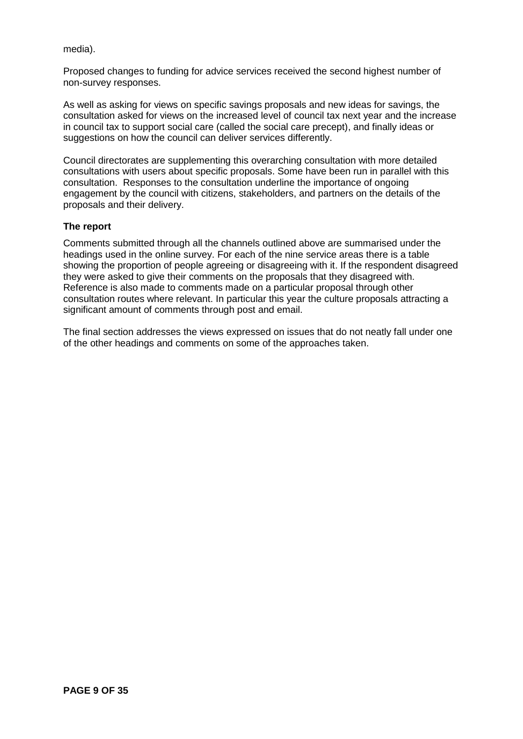### media).

Proposed changes to funding for advice services received the second highest number of non-survey responses.

As well as asking for views on specific savings proposals and new ideas for savings, the consultation asked for views on the increased level of council tax next year and the increase in council tax to support social care (called the social care precept), and finally ideas or suggestions on how the council can deliver services differently.

Council directorates are supplementing this overarching consultation with more detailed consultations with users about specific proposals. Some have been run in parallel with this consultation. Responses to the consultation underline the importance of ongoing engagement by the council with citizens, stakeholders, and partners on the details of the proposals and their delivery.

### **The report**

Comments submitted through all the channels outlined above are summarised under the headings used in the online survey. For each of the nine service areas there is a table showing the proportion of people agreeing or disagreeing with it. If the respondent disagreed they were asked to give their comments on the proposals that they disagreed with. Reference is also made to comments made on a particular proposal through other consultation routes where relevant. In particular this year the culture proposals attracting a significant amount of comments through post and email.

The final section addresses the views expressed on issues that do not neatly fall under one of the other headings and comments on some of the approaches taken.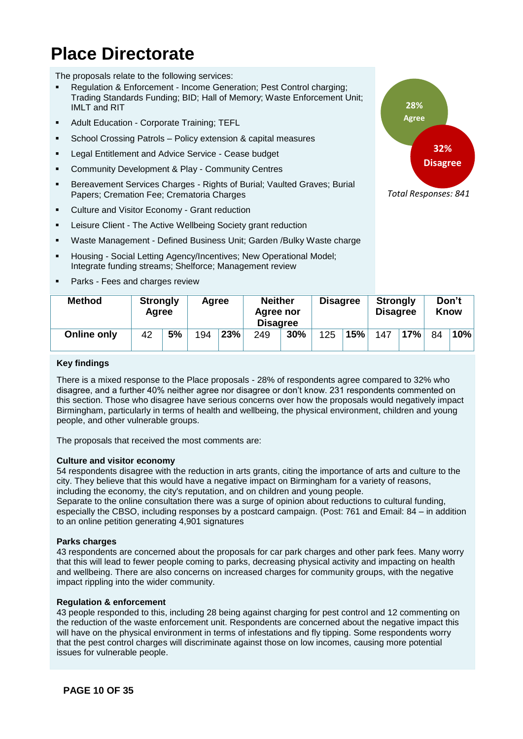### <span id="page-9-0"></span>**Place Directorate**

The proposals relate to the following services:

- Regulation & Enforcement Income Generation; Pest Control charging; Trading Standards Funding; BID; Hall of Memory; Waste Enforcement Unit; IMLT and RIT
- **Adult Education Corporate Training; TEFL**
- School Crossing Patrols Policy extension & capital measures
- **EXEC** Legal Entitlement and Advice Service Cease budget
- **EXECOMMUNITY Development & Play Community Centres**
- **Bereavement Services Charges Rights of Burial; Vaulted Graves; Burial** Papers; Cremation Fee; Crematoria Charges
- Culture and Visitor Economy Grant reduction
- **EXECT:** Leisure Client The Active Wellbeing Society grant reduction
- Waste Management Defined Business Unit; Garden /Bulky Waste charge
- Housing Social Letting Agency/Incentives; New Operational Model; Integrate funding streams; Shelforce; Management review
- Parks Fees and charges review

| <b>Method</b>      | <b>Strongly</b><br>Agree |    | Agree |     | <b>Neither</b><br>Agree nor<br><b>Disagree</b> |     | <b>Disagree</b> |     | <b>Strongly</b><br><b>Disagree</b> |     | Don't<br><b>Know</b> |     |
|--------------------|--------------------------|----|-------|-----|------------------------------------------------|-----|-----------------|-----|------------------------------------|-----|----------------------|-----|
| <b>Online only</b> | 42                       | 5% | 194   | 23% |                                                | 30% | 125             | 15% | 147                                | 17% | 84                   | 10% |

### **Key findings**

There is a mixed response to the Place proposals - 28% of respondents agree compared to 32% who disagree, and a further 40% neither agree nor disagree or don't know. 231 respondents commented on this section. Those who disagree have serious concerns over how the proposals would negatively impact Birmingham, particularly in terms of health and wellbeing, the physical environment, children and young people, and other vulnerable groups.

The proposals that received the most comments are:

#### **Culture and visitor economy**

54 respondents disagree with the reduction in arts grants, citing the importance of arts and culture to the city. They believe that this would have a negative impact on Birmingham for a variety of reasons, including the economy, the city's reputation, and on children and young people.

Separate to the online consultation there was a surge of opinion about reductions to cultural funding, especially the CBSO, including responses by a postcard campaign. (Post: 761 and Email: 84 – in addition to an online petition generating 4,901 signatures

#### **Parks charges**

43 respondents are concerned about the proposals for car park charges and other park fees. Many worry that this will lead to fewer people coming to parks, decreasing physical activity and impacting on health and wellbeing. There are also concerns on increased charges for community groups, with the negative impact rippling into the wider community.

#### **Regulation & enforcement**

43 people responded to this, including 28 being against charging for pest control and 12 commenting on the reduction of the waste enforcement unit. Respondents are concerned about the negative impact this will have on the physical environment in terms of infestations and fly tipping. Some respondents worry that the pest control charges will discriminate against those on low incomes, causing more potential issues for vulnerable people.

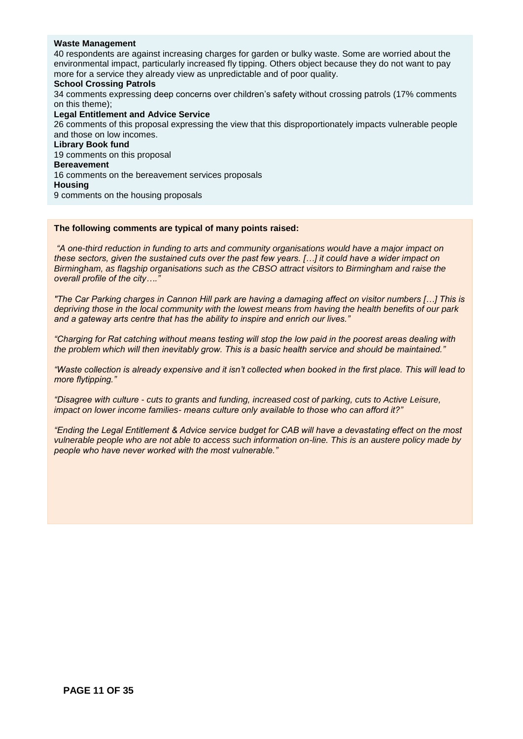#### **Waste Management**

40 respondents are against increasing charges for garden or bulky waste. Some are worried about the environmental impact, particularly increased fly tipping. Others object because they do not want to pay more for a service they already view as unpredictable and of poor quality.

#### **School Crossing Patrols**

34 comments expressing deep concerns over children's safety without crossing patrols (17% comments on this theme);

### **Legal Entitlement and Advice Service**

26 comments of this proposal expressing the view that this disproportionately impacts vulnerable people and those on low incomes.

#### **Library Book fund**

19 comments on this proposal

#### **Bereavement**

16 comments on the bereavement services proposals

#### **Housing**

9 comments on the housing proposals

#### **The following comments are typical of many points raised:**

*"A one-third reduction in funding to arts and community organisations would have a major impact on these sectors, given the sustained cuts over the past few years. […] it could have a wider impact on Birmingham, as flagship organisations such as the CBSO attract visitors to Birmingham and raise the overall profile of the city…."* 

*"The Car Parking charges in Cannon Hill park are having a damaging affect on visitor numbers […] This is depriving those in the local community with the lowest means from having the health benefits of our park and a gateway arts centre that has the ability to inspire and enrich our lives."*

*"Charging for Rat catching without means testing will stop the low paid in the poorest areas dealing with the problem which will then inevitably grow. This is a basic health service and should be maintained."*

*"Waste collection is already expensive and it isn't collected when booked in the first place. This will lead to more flytipping."*

*"Disagree with culture - cuts to grants and funding, increased cost of parking, cuts to Active Leisure, impact on lower income families- means culture only available to those who can afford it?"*

*"Ending the Legal Entitlement & Advice service budget for CAB will have a devastating effect on the most vulnerable people who are not able to access such information on-line. This is an austere policy made by people who have never worked with the most vulnerable."*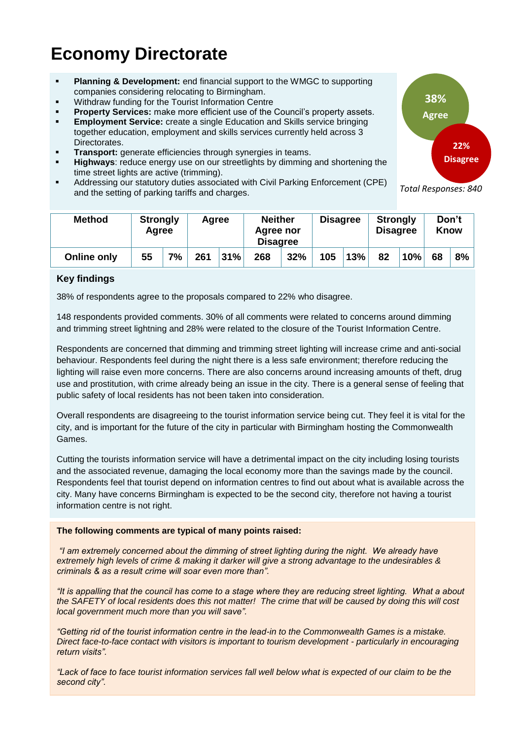### <span id="page-11-0"></span>**Economy Directorate**

- **Planning & Development:** end financial support to the WMGC to supporting companies considering relocating to Birmingham.
- Withdraw funding for the Tourist Information Centre
- **Property Services:** make more efficient use of the Council's property assets.
- **Employment Service:** create a single Education and Skills service bringing together education, employment and skills services currently held across 3 Directorates.
- **Transport:** generate efficiencies through synergies in teams.
- **Highways**: reduce energy use on our streetlights by dimming and shortening the time street lights are active (trimming).
- Addressing our statutory duties associated with Civil Parking Enforcement (CPE) and the setting of parking tariffs and charges.

| <b>Method</b>      | <b>Strongly</b><br>Aaree |    |     | Agree |  | <b>Neither</b><br>Agree nor<br><b>Disagree</b> |  | <b>Disagree</b> | <b>Strongly</b><br><b>Disagree</b> |     | Don't<br><b>Know</b> |    |
|--------------------|--------------------------|----|-----|-------|--|------------------------------------------------|--|-----------------|------------------------------------|-----|----------------------|----|
| <b>Online only</b> | 55                       | 7% | 261 | 31%   |  | 32%<br>268                                     |  | 13%             | 82                                 | 10% | 68                   | 8% |

### **Key findings**

38% of respondents agree to the proposals compared to 22% who disagree.

148 respondents provided comments. 30% of all comments were related to concerns around dimming and trimming street lightning and 28% were related to the closure of the Tourist Information Centre.

Respondents are concerned that dimming and trimming street lighting will increase crime and anti-social behaviour. Respondents feel during the night there is a less safe environment; therefore reducing the lighting will raise even more concerns. There are also concerns around increasing amounts of theft, drug use and prostitution, with crime already being an issue in the city. There is a general sense of feeling that public safety of local residents has not been taken into consideration.

Overall respondents are disagreeing to the tourist information service being cut. They feel it is vital for the city, and is important for the future of the city in particular with Birmingham hosting the Commonwealth Games.

Cutting the tourists information service will have a detrimental impact on the city including losing tourists and the associated revenue, damaging the local economy more than the savings made by the council. Respondents feel that tourist depend on information centres to find out about what is available across the city. Many have concerns Birmingham is expected to be the second city, therefore not having a tourist information centre is not right.

### **The following comments are typical of many points raised:**

*"I am extremely concerned about the dimming of street lighting during the night. We already have extremely high levels of crime & making it darker will give a strong advantage to the undesirables & criminals & as a result crime will soar even more than".*

*"It is appalling that the council has come to a stage where they are reducing street lighting. What a about the SAFETY of local residents does this not matter! The crime that will be caused by doing this will cost local government much more than you will save".*

*"Getting rid of the tourist information centre in the lead-in to the Commonwealth Games is a mistake. Direct face-to-face contact with visitors is important to tourism development - particularly in encouraging return visits".* 

**PAGE 12 OF 35** *"Lack of face to face tourist information services fall well below what is expected of our claim to be the second city".*



*Total Responses: 840*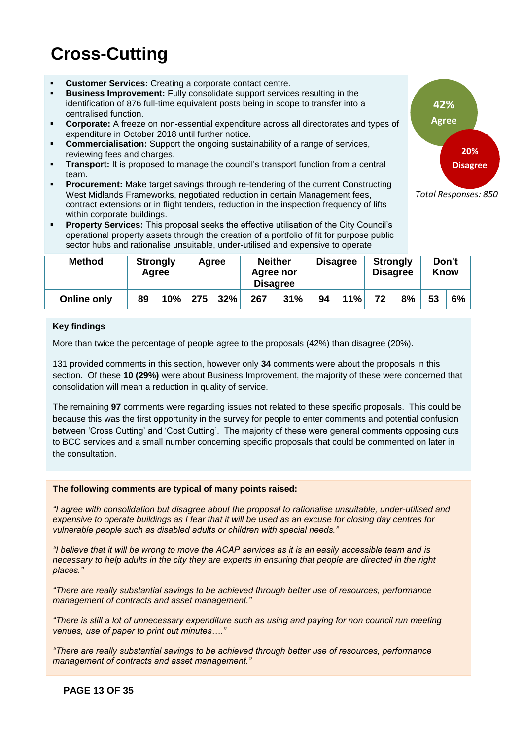### <span id="page-12-0"></span>**Cross-Cutting**

- **Customer Services:** Creating a corporate contact centre.
- **Business Improvement:** Fully consolidate support services resulting in the identification of 876 full-time equivalent posts being in scope to transfer into a centralised function.
- **Corporate:** A freeze on non-essential expenditure across all directorates and types of expenditure in October 2018 until further notice.
- **Commercialisation:** Support the ongoing sustainability of a range of services, reviewing fees and charges.
- **Transport:** It is proposed to manage the council's transport function from a central team.
- **Procurement:** Make target savings through re-tendering of the current Constructing West Midlands Frameworks, negotiated reduction in certain Management fees, contract extensions or in flight tenders, reduction in the inspection frequency of lifts within corporate buildings.
- **Property Services:** This proposal seeks the effective utilisation of the City Council's operational property assets through the creation of a portfolio of fit for purpose public sector hubs and rationalise unsuitable, under-utilised and expensive to operate

| <b>Method</b>      | <b>Strongly</b><br>Agree |     | Agree |     | <b>Neither</b><br>Agree nor<br><b>Disagree</b> |     | <b>Disagree</b> |     | <b>Strongly</b><br><b>Disagree</b> |    | Don't<br><b>Know</b> |    |
|--------------------|--------------------------|-----|-------|-----|------------------------------------------------|-----|-----------------|-----|------------------------------------|----|----------------------|----|
| <b>Online only</b> | 89                       | 10% | 275   | 32% |                                                | 31% | 94              | 11% | 72                                 | 8% | 53                   | 6% |

### **Key findings**

More than twice the percentage of people agree to the proposals (42%) than disagree (20%).

131 provided comments in this section, however only **34** comments were about the proposals in this section. Of these **10 (29%)** were about Business Improvement, the majority of these were concerned that consolidation will mean a reduction in quality of service.

The remaining **97** comments were regarding issues not related to these specific proposals. This could be because this was the first opportunity in the survey for people to enter comments and potential confusion between 'Cross Cutting' and 'Cost Cutting'. The majority of these were general comments opposing cuts to BCC services and a small number concerning specific proposals that could be commented on later in the consultation.

#### **The following comments are typical of many points raised:**

*"I agree with consolidation but disagree about the proposal to rationalise unsuitable, under-utilised and expensive to operate buildings as I fear that it will be used as an excuse for closing day centres for vulnerable people such as disabled adults or children with special needs."*

*"I believe that it will be wrong to move the ACAP services as it is an easily accessible team and is necessary to help adults in the city they are experts in ensuring that people are directed in the right places."*

*"There are really substantial savings to be achieved through better use of resources, performance management of contracts and asset management."*

*"There is still a lot of unnecessary expenditure such as using and paying for non council run meeting venues, use of paper to print out minutes…."*

*"There are really substantial savings to be achieved through better use of resources, performance management of contracts and asset management."*

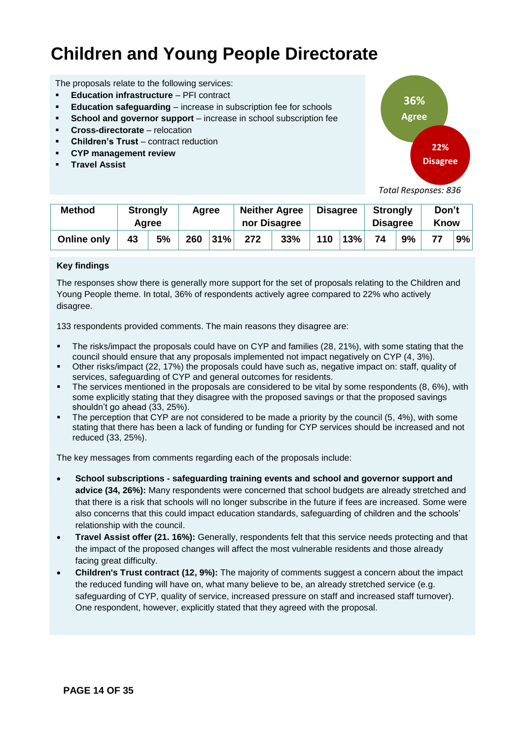### <span id="page-13-0"></span>**Children and Young People Directorate**

The proposals relate to the following services:

- **Education infrastructure** PFI contract
- **Education safeguarding** increase in subscription fee for schools
- **School and governor support** increase in school subscription fee
- **Cross-directorate** relocation
- **Children's Trust** contract reduction
- **CYP management review**
- **Travel Assist**



 *Total Responses: 836*

| <b>Method</b>      | <b>Strongly</b><br>Aaree |    | Agree |     | <b>Neither Agree</b><br>nor Disagree |     | <b>Disagree</b> |     | <b>Strongly</b><br><b>Disagree</b> |    | Don't<br><b>Know</b> |    |
|--------------------|--------------------------|----|-------|-----|--------------------------------------|-----|-----------------|-----|------------------------------------|----|----------------------|----|
| <b>Online only</b> | 43                       | 5% | 260   | 31% | 272                                  | 33% | 110             | 13% | 74                                 | 9% |                      | 9% |

### **Key findings**

The responses show there is generally more support for the set of proposals relating to the Children and Young People theme. In total, 36% of respondents actively agree compared to 22% who actively disagree.

133 respondents provided comments. The main reasons they disagree are:

- The risks/impact the proposals could have on CYP and families (28, 21%), with some stating that the council should ensure that any proposals implemented not impact negatively on CYP (4, 3%).
- Other risks/impact (22, 17%) the proposals could have such as, negative impact on: staff, quality of services, safeguarding of CYP and general outcomes for residents.
- The services mentioned in the proposals are considered to be vital by some respondents (8, 6%), with some explicitly stating that they disagree with the proposed savings or that the proposed savings shouldn't go ahead (33, 25%).
- The perception that CYP are not considered to be made a priority by the council (5, 4%), with some stating that there has been a lack of funding or funding for CYP services should be increased and not reduced (33, 25%).

The key messages from comments regarding each of the proposals include:

- **School subscriptions - safeguarding training events and school and governor support and advice (34, 26%):** Many respondents were concerned that school budgets are already stretched and that there is a risk that schools will no longer subscribe in the future if fees are increased. Some were also concerns that this could impact education standards, safeguarding of children and the schools' relationship with the council.
- **Travel Assist offer (21. 16%):** Generally, respondents felt that this service needs protecting and that the impact of the proposed changes will affect the most vulnerable residents and those already facing great difficulty.
- **Children's Trust contract (12, 9%):** The majority of comments suggest a concern about the impact the reduced funding will have on, what many believe to be, an already stretched service (e.g. safeguarding of CYP, quality of service, increased pressure on staff and increased staff turnover). One respondent, however, explicitly stated that they agreed with the proposal.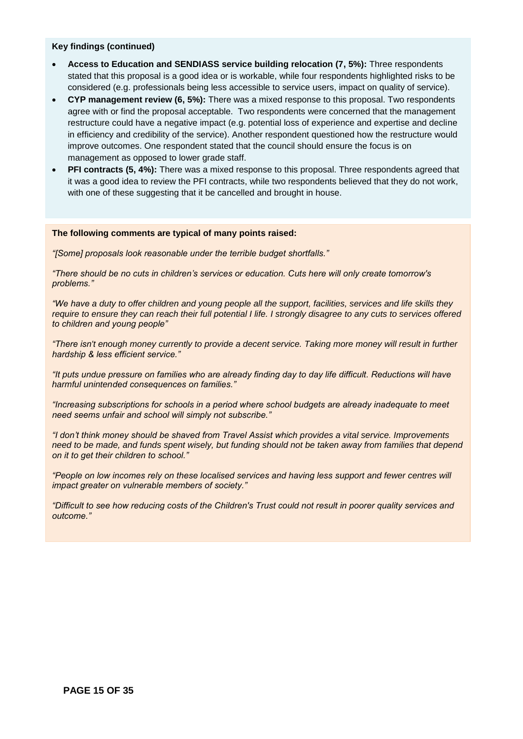### **Key findings (continued)**

- **Access to Education and SENDIASS service building relocation (7, 5%):** Three respondents stated that this proposal is a good idea or is workable, while four respondents highlighted risks to be considered (e.g. professionals being less accessible to service users, impact on quality of service).
- **CYP management review (6, 5%):** There was a mixed response to this proposal. Two respondents agree with or find the proposal acceptable. Two respondents were concerned that the management restructure could have a negative impact (e.g. potential loss of experience and expertise and decline in efficiency and credibility of the service). Another respondent questioned how the restructure would improve outcomes. One respondent stated that the council should ensure the focus is on management as opposed to lower grade staff.
- **PFI contracts (5, 4%):** There was a mixed response to this proposal. Three respondents agreed that it was a good idea to review the PFI contracts, while two respondents believed that they do not work, with one of these suggesting that it be cancelled and brought in house.

#### **The following comments are typical of many points raised:**

*"[Some] proposals look reasonable under the terrible budget shortfalls."*

*"There should be no cuts in children's services or education. Cuts here will only create tomorrow's problems."*

*"We have a duty to offer children and young people all the support, facilities, services and life skills they require to ensure they can reach their full potential I life. I strongly disagree to any cuts to services offered to children and young people"*

*"There isn't enough money currently to provide a decent service. Taking more money will result in further hardship & less efficient service."*

*"It puts undue pressure on families who are already finding day to day life difficult. Reductions will have harmful unintended consequences on families."*

*"Increasing subscriptions for schools in a period where school budgets are already inadequate to meet need seems unfair and school will simply not subscribe."*

*"I don't think money should be shaved from Travel Assist which provides a vital service. Improvements need to be made, and funds spent wisely, but funding should not be taken away from families that depend on it to get their children to school."*

*"People on low incomes rely on these localised services and having less support and fewer centres will impact greater on vulnerable members of society."*

*"Difficult to see how reducing costs of the Children's Trust could not result in poorer quality services and outcome."*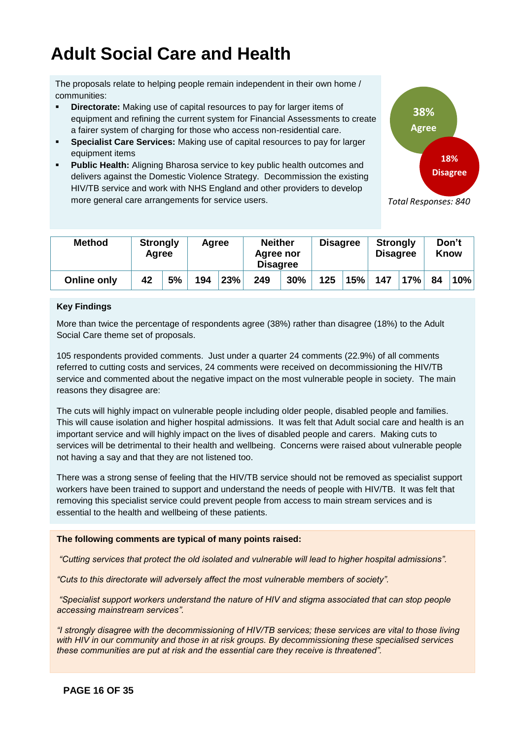### <span id="page-15-0"></span>**Adult Social Care and Health**

The proposals relate to helping people remain independent in their own home / communities:

- **Directorate:** Making use of capital resources to pay for larger items of equipment and refining the current system for Financial Assessments to create a fairer system of charging for those who access non-residential care.
- **Specialist Care Services:** Making use of capital resources to pay for larger equipment items
- **Public Health:** Aligning Bharosa service to key public health outcomes and delivers against the Domestic Violence Strategy. Decommission the existing HIV/TB service and work with NHS England and other providers to develop more general care arrangements for service users.



 *Total Responses: 840*

| <b>Method</b>      | <b>Strongly</b><br>Agree |    | Agree |     | <b>Neither</b><br>Agree nor<br><b>Disagree</b> |     | <b>Disagree</b> |     | <b>Strongly</b><br><b>Disagree</b> |     | Don't<br><b>Know</b> |     |
|--------------------|--------------------------|----|-------|-----|------------------------------------------------|-----|-----------------|-----|------------------------------------|-----|----------------------|-----|
| <b>Online only</b> | 42                       | 5% | 194   | 23% |                                                | 30% | 125             | 15% | 147                                | 17% | 84                   | 10% |

### **Key Findings**

More than twice the percentage of respondents agree (38%) rather than disagree (18%) to the Adult Social Care theme set of proposals.

105 respondents provided comments. Just under a quarter 24 comments (22.9%) of all comments referred to cutting costs and services, 24 comments were received on decommissioning the HIV/TB service and commented about the negative impact on the most vulnerable people in society. The main reasons they disagree are:

The cuts will highly impact on vulnerable people including older people, disabled people and families. This will cause isolation and higher hospital admissions. It was felt that Adult social care and health is an important service and will highly impact on the lives of disabled people and carers. Making cuts to services will be detrimental to their health and wellbeing. Concerns were raised about vulnerable people not having a say and that they are not listened too.

There was a strong sense of feeling that the HIV/TB service should not be removed as specialist support workers have been trained to support and understand the needs of people with HIV/TB. It was felt that removing this specialist service could prevent people from access to main stream services and is essential to the health and wellbeing of these patients.

### **The following comments are typical of many points raised:**

*"Cutting services that protect the old isolated and vulnerable will lead to higher hospital admissions".*

*"Cuts to this directorate will adversely affect the most vulnerable members of society".*

*"Specialist support workers understand the nature of HIV and stigma associated that can stop people accessing mainstream services".* 

*"I strongly disagree with the decommissioning of HIV/TB services; these services are vital to those living with HIV in our community and those in at risk groups. By decommissioning these specialised services these communities are put at risk and the essential care they receive is threatened".*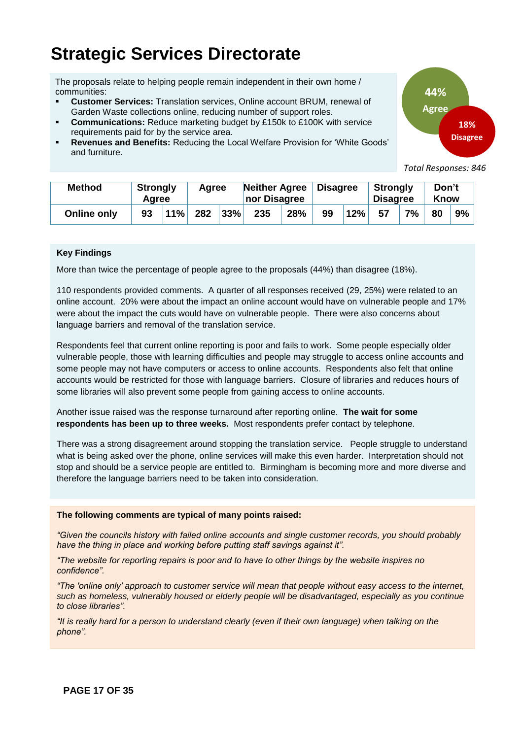### <span id="page-16-0"></span>**Strategic Services Directorate**

The proposals relate to helping people remain independent in their own home / communities:

- **Customer Services:** Translation services, Online account BRUM, renewal of Garden Waste collections online, reducing number of support roles.
- **Communications:** Reduce marketing budget by £150k to £100K with service requirements paid for by the service area.
- **Revenues and Benefits:** Reducing the Local Welfare Provision for 'White Goods' and furniture.

**44% Agree 18% Disagree**

 *Total Responses: 846*

| <b>Method</b>      | <b>Strongly</b><br>Aaree |     |     | Agree |     | <b>Neither Agree</b><br>nor Disagree |    | <b>Disagree</b> | <b>Strongly</b><br><b>Disagree</b> |    | Don't<br><b>Know</b> |    |
|--------------------|--------------------------|-----|-----|-------|-----|--------------------------------------|----|-----------------|------------------------------------|----|----------------------|----|
| <b>Online only</b> | 93                       | 11% | 282 | 33%   | 235 | 28%                                  | 99 | 12%             | 57                                 | 7% | 80                   | 9% |

### **Key Findings**

More than twice the percentage of people agree to the proposals (44%) than disagree (18%).

110 respondents provided comments. A quarter of all responses received (29, 25%) were related to an online account. 20% were about the impact an online account would have on vulnerable people and 17% were about the impact the cuts would have on vulnerable people. There were also concerns about language barriers and removal of the translation service.

Respondents feel that current online reporting is poor and fails to work. Some people especially older vulnerable people, those with learning difficulties and people may struggle to access online accounts and some people may not have computers or access to online accounts. Respondents also felt that online accounts would be restricted for those with language barriers. Closure of libraries and reduces hours of some libraries will also prevent some people from gaining access to online accounts.

Another issue raised was the response turnaround after reporting online. **The wait for some respondents has been up to three weeks.** Most respondents prefer contact by telephone.

There was a strong disagreement around stopping the translation service. People struggle to understand what is being asked over the phone, online services will make this even harder. Interpretation should not stop and should be a service people are entitled to. Birmingham is becoming more and more diverse and therefore the language barriers need to be taken into consideration.

### **The following comments are typical of many points raised:**

*"Given the councils history with failed online accounts and single customer records, you should probably have the thing in place and working before putting staff savings against it".*

*"The website for reporting repairs is poor and to have to other things by the website inspires no confidence".*

*"The 'online only' approach to customer service will mean that people without easy access to the internet, such as homeless, vulnerably housed or elderly people will be disadvantaged, especially as you continue to close libraries".*

*"It is really hard for a person to understand clearly (even if their own language) when talking on the phone".*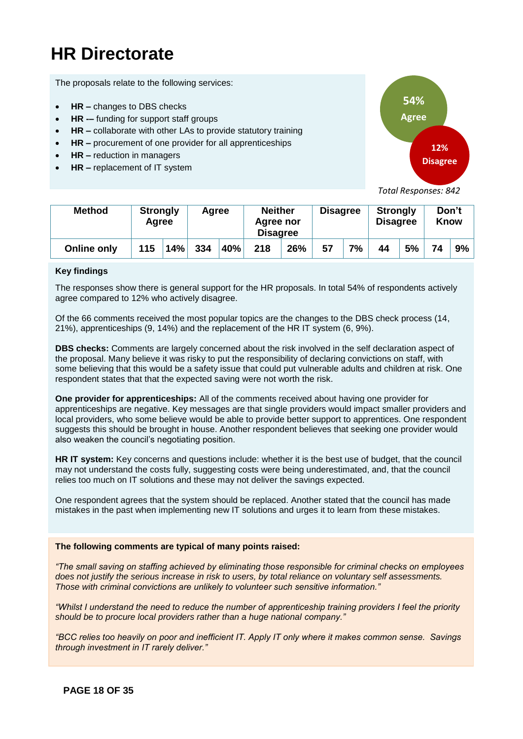### <span id="page-17-0"></span>**HR Directorate**

The proposals relate to the following services:

- **HR** changes to DBS checks
- **HR -–** funding for support staff groups
- **HR –** collaborate with other LAs to provide statutory training
- **HR –** procurement of one provider for all apprenticeships
- **HR –** reduction in managers
- **HR –** replacement of IT system



 *Total Responses: 842*

| <b>Method</b>      | <b>Strongly</b><br>Agree |     | Agree |     | <b>Neither</b><br>Agree nor<br><b>Disagree</b> |     | <b>Disagree</b> |    | <b>Strongly</b><br><b>Disagree</b> |    | Don't<br><b>Know</b> |    |
|--------------------|--------------------------|-----|-------|-----|------------------------------------------------|-----|-----------------|----|------------------------------------|----|----------------------|----|
| <b>Online only</b> | 115                      | 14% | 334   | 40% |                                                | 26% | 57              | 7% | 44                                 | 5% | 74                   | 9% |

### **Key findings**

The responses show there is general support for the HR proposals. In total 54% of respondents actively agree compared to 12% who actively disagree.

Of the 66 comments received the most popular topics are the changes to the DBS check process (14, 21%), apprenticeships (9, 14%) and the replacement of the HR IT system (6, 9%).

**DBS checks:** Comments are largely concerned about the risk involved in the self declaration aspect of the proposal. Many believe it was risky to put the responsibility of declaring convictions on staff, with some believing that this would be a safety issue that could put vulnerable adults and children at risk. One respondent states that that the expected saving were not worth the risk.

**One provider for apprenticeships:** All of the comments received about having one provider for apprenticeships are negative. Key messages are that single providers would impact smaller providers and local providers, who some believe would be able to provide better support to apprentices. One respondent suggests this should be brought in house. Another respondent believes that seeking one provider would also weaken the council's negotiating position.

**HR IT system:** Key concerns and questions include: whether it is the best use of budget, that the council may not understand the costs fully, suggesting costs were being underestimated, and, that the council relies too much on IT solutions and these may not deliver the savings expected.

One respondent agrees that the system should be replaced. Another stated that the council has made mistakes in the past when implementing new IT solutions and urges it to learn from these mistakes.

#### **The following comments are typical of many points raised:**

*"The small saving on staffing achieved by eliminating those responsible for criminal checks on employees does not justify the serious increase in risk to users, by total reliance on voluntary self assessments. Those with criminal convictions are unlikely to volunteer such sensitive information."*

*"Whilst I understand the need to reduce the number of apprenticeship training providers I feel the priority should be to procure local providers rather than a huge national company."*

*"BCC relies too heavily on poor and inefficient IT. Apply IT only where it makes common sense. Savings through investment in IT rarely deliver."*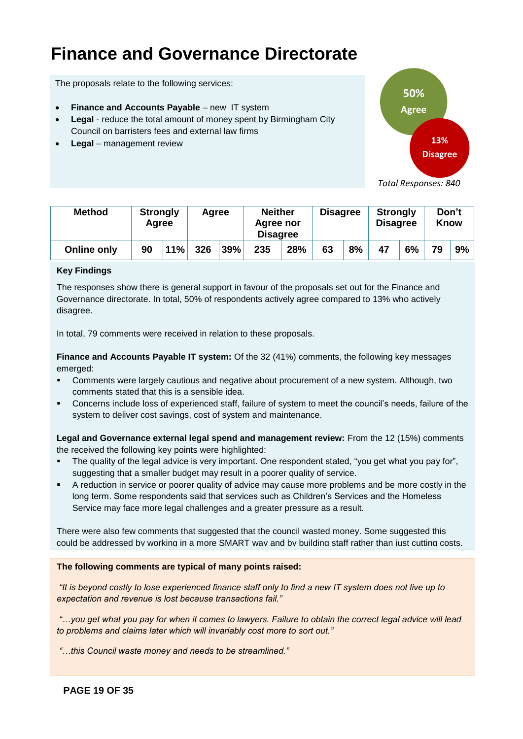### <span id="page-18-0"></span>**Finance and Governance Directorate**

The proposals relate to the following services:

- **Finance and Accounts Payable** new IT system
- **Legal** reduce the total amount of money spent by Birmingham City Council on barristers fees and external law firms
- **Legal**  management review



| <b>Method</b>      | <b>Strongly</b><br>Agree |     | Agree |     | <b>Neither</b><br>Agree nor<br><b>Disagree</b> |            | <b>Disagree</b> |    | <b>Strongly</b><br><b>Disagree</b> |    | Don't<br><b>Know</b> |    |
|--------------------|--------------------------|-----|-------|-----|------------------------------------------------|------------|-----------------|----|------------------------------------|----|----------------------|----|
| <b>Online only</b> | 90                       | 11% | 326   | 39% |                                                | 28%<br>235 |                 | 8% | 47                                 | 6% | 79                   | 9% |

### **Key Findings**

The responses show there is general support in favour of the proposals set out for the Finance and Governance directorate. In total, 50% of respondents actively agree compared to 13% who actively disagree.

In total, 79 comments were received in relation to these proposals.

**Finance and Accounts Payable IT system:** Of the 32 (41%) comments, the following key messages emerged:

- Comments were largely cautious and negative about procurement of a new system. Although, two comments stated that this is a sensible idea.
- Concerns include loss of experienced staff, failure of system to meet the council's needs, failure of the system to deliver cost savings, cost of system and maintenance.

**Legal and Governance external legal spend and management review:** From the 12 (15%) comments the received the following key points were highlighted:

- The quality of the legal advice is very important. One respondent stated, "you get what you pay for", suggesting that a smaller budget may result in a poorer quality of service.
- A reduction in service or poorer quality of advice may cause more problems and be more costly in the long term. Some respondents said that services such as Children's Services and the Homeless Service may face more legal challenges and a greater pressure as a result.

There were also few comments that suggested that the council wasted money. Some suggested this could be addressed by working in a more SMART way and by building staff rather than just cutting costs.

### **The following comments are typical of many points raised:**

*"It is beyond costly to lose experienced finance staff only to find a new IT system does not live up to expectation and revenue is lost because transactions fail."*

*"…you get what you pay for when it comes to lawyers. Failure to obtain the correct legal advice will lead to problems and claims later which will invariably cost more to sort out."*

*"…this Council waste money and needs to be streamlined."*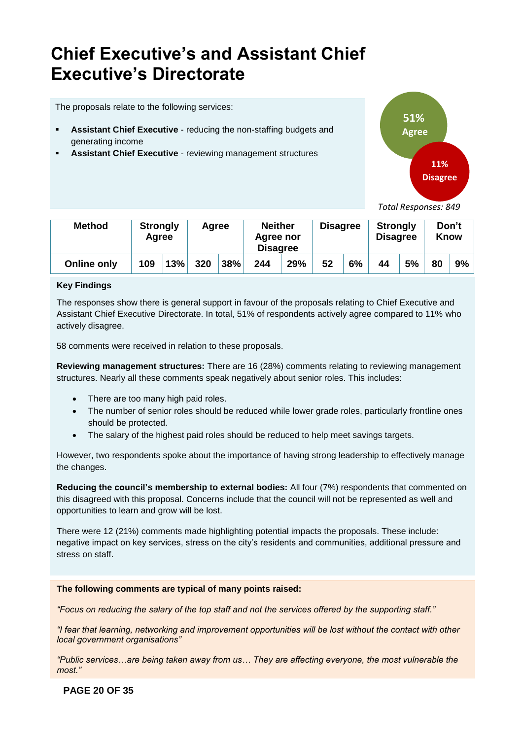### <span id="page-19-0"></span>**Chief Executive's and Assistant Chief Executive's Directorate**

The proposals relate to the following services:

- **Assistant Chief Executive** reducing the non-staffing budgets and generating income
- **Assistant Chief Executive** reviewing management structures



 *Total Responses: 849*

| <b>Method</b>      | <b>Strongly</b><br>Agree |     | Agree |     | <b>Neither</b><br>Agree nor<br><b>Disagree</b> |     | <b>Disagree</b> |    | <b>Strongly</b><br><b>Disagree</b> |    | Don't<br>Know |    |
|--------------------|--------------------------|-----|-------|-----|------------------------------------------------|-----|-----------------|----|------------------------------------|----|---------------|----|
| <b>Online only</b> | 109                      | 13% | 320   | 38% | 244                                            | 29% | 52              | 6% | 44                                 | 5% | 80            | 9% |

### **Key Findings**

The responses show there is general support in favour of the proposals relating to Chief Executive and Assistant Chief Executive Directorate. In total, 51% of respondents actively agree compared to 11% who actively disagree.

58 comments were received in relation to these proposals.

**Reviewing management structures:** There are 16 (28%) comments relating to reviewing management structures. Nearly all these comments speak negatively about senior roles. This includes:

- There are too many high paid roles.
- The number of senior roles should be reduced while lower grade roles, particularly frontline ones should be protected.
- The salary of the highest paid roles should be reduced to help meet savings targets.

However, two respondents spoke about the importance of having strong leadership to effectively manage the changes.

**Reducing the council's membership to external bodies:** All four (7%) respondents that commented on this disagreed with this proposal. Concerns include that the council will not be represented as well and opportunities to learn and grow will be lost.

There were 12 (21%) comments made highlighting potential impacts the proposals. These include: negative impact on key services, stress on the city's residents and communities, additional pressure and stress on staff.

### **The following comments are typical of many points raised:**

*"Focus on reducing the salary of the top staff and not the services offered by the supporting staff."*

*"I fear that learning, networking and improvement opportunities will be lost without the contact with other local government organisations"*

*"Public services…are being taken away from us… They are affecting everyone, the most vulnerable the most."*

**PAGE 20 OF 35**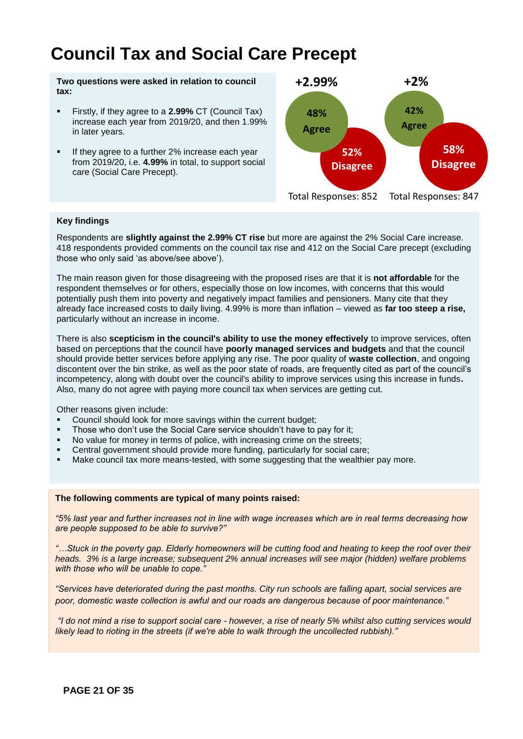### <span id="page-20-0"></span>**Council Tax and Social Care Precept**

**Two questions were asked in relation to council tax:**

- Firstly, if they agree to a **2.99%** CT (Council Tax) increase each year from 2019/20, and then 1.99% in later years.
- If they agree to a further 2% increase each year from 2019/20, i.e. **4.99%** in total, to support social care (Social Care Precept).



### **Key findings**

Respondents are **slightly against the 2.99% CT rise** but more are against the 2% Social Care increase. 418 respondents provided comments on the council tax rise and 412 on the Social Care precept (excluding those who only said 'as above/see above').

The main reason given for those disagreeing with the proposed rises are that it is **not affordable** for the respondent themselves or for others, especially those on low incomes, with concerns that this would potentially push them into poverty and negatively impact families and pensioners. Many cite that they already face increased costs to daily living. 4.99% is more than inflation – viewed as **far too steep a rise,**  particularly without an increase in income.

There is also **scepticism in the council's ability to use the money effectively** to improve services, often based on perceptions that the council have **poorly managed services and budgets** and that the council should provide better services before applying any rise. The poor quality of **waste collection**, and ongoing discontent over the bin strike, as well as the poor state of roads, are frequently cited as part of the council's incompetency, along with doubt over the council's ability to improve services using this increase in funds**.**  Also, many do not agree with paying more council tax when services are getting cut.

Other reasons given include:

- Council should look for more savings within the current budget;
- Those who don't use the Social Care service shouldn't have to pay for it;
- No value for money in terms of police, with increasing crime on the streets;
- Central government should provide more funding, particularly for social care;
- **Make council tax more means-tested, with some suggesting that the wealthier pay more.**

#### **The following comments are typical of many points raised:**

*"5% last year and further increases not in line with wage increases which are in real terms decreasing how are people supposed to be able to survive?"* 

*"…Stuck in the poverty gap. Elderly homeowners will be cutting food and heating to keep the roof over their heads. 3% is a large increase; subsequent 2% annual increases will see major (hidden) welfare problems with those who will be unable to cope."*

*"Services have deteriorated during the past months. City run schools are falling apart, social services are poor, domestic waste collection is awful and our roads are dangerous because of poor maintenance."*

*"I do not mind a rise to support social care - however, a rise of nearly 5% whilst also cutting services would likely lead to rioting in the streets (if we're able to walk through the uncollected rubbish)."*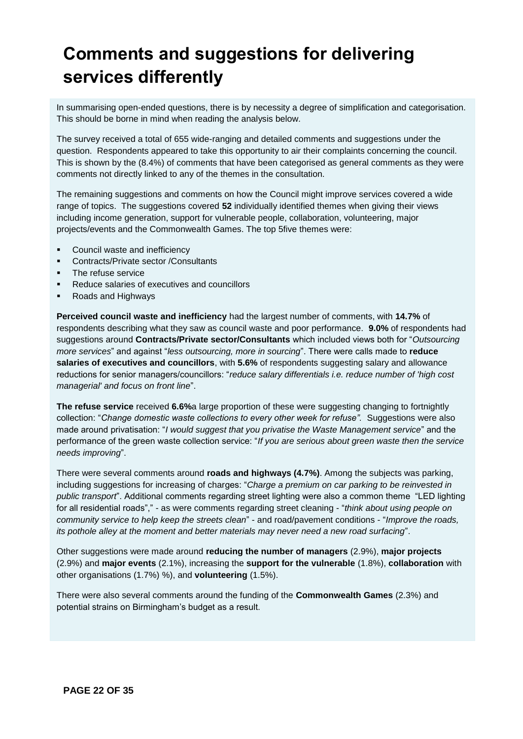## <span id="page-21-0"></span>**Comments and suggestions for delivering services differently**

In summarising open-ended questions, there is by necessity a degree of simplification and categorisation. This should be borne in mind when reading the analysis below.

The survey received a total of 655 wide-ranging and detailed comments and suggestions under the question. Respondents appeared to take this opportunity to air their complaints concerning the council. This is shown by the (8.4%) of comments that have been categorised as general comments as they were comments not directly linked to any of the themes in the consultation.

The remaining suggestions and comments on how the Council might improve services covered a wide range of topics. The suggestions covered **52** individually identified themes when giving their views including income generation, support for vulnerable people, collaboration, volunteering, major projects/events and the Commonwealth Games. The top 5five themes were:

- Council waste and inefficiency
- Contracts/Private sector /Consultants
- The refuse service
- Reduce salaries of executives and councillors
- Roads and Highways

**Perceived council waste and inefficiency** had the largest number of comments, with **14.7%** of respondents describing what they saw as council waste and poor performance. **9.0%** of respondents had suggestions around **Contracts/Private sector/Consultants** which included views both for "*Outsourcing more services*" and against "*less outsourcing, more in sourcing*". There were calls made to **reduce salaries of executives and councillors**, with **5.6%** of respondents suggesting salary and allowance reductions for senior managers/councillors: "*reduce salary differentials i.e. reduce number of 'high cost managerial' and focus on front line*".

**The refuse service** received **6.6%**a large proportion of these were suggesting changing to fortnightly collection: "*Change domestic waste collections to every other week for refuse".* Suggestions were also made around privatisation: "*I would suggest that you privatise the Waste Management service*" and the performance of the green waste collection service: "*If you are serious about green waste then the service needs improving*".

There were several comments around **roads and highways (4.7%)**. Among the subjects was parking, including suggestions for increasing of charges: "*Charge a premium on car parking to be reinvested in public transport*". Additional comments regarding street lighting were also a common theme "LED lighting for all residential roads"," - as were comments regarding street cleaning - "*think about using people on community service to help keep the streets clean*" - and road/pavement conditions - "*Improve the roads, its pothole alley at the moment and better materials may never need a new road surfacing*".

Other suggestions were made around **reducing the number of managers** (2.9%), **major projects** (2.9%) and **major events** (2.1%), increasing the **support for the vulnerable** (1.8%), **collaboration** with other organisations (1.7%) %), and **volunteering** (1.5%).

There were also several comments around the funding of the **Commonwealth Games** (2.3%) and potential strains on Birmingham's budget as a result.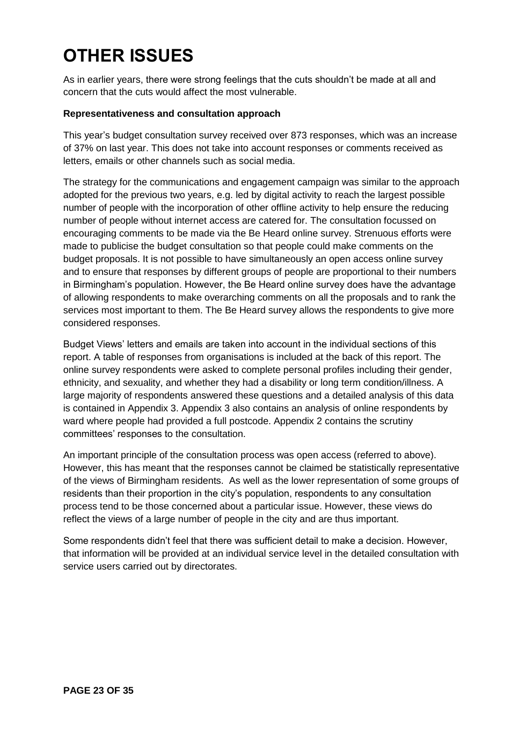# <span id="page-22-0"></span>**OTHER ISSUES**

As in earlier years, there were strong feelings that the cuts shouldn't be made at all and concern that the cuts would affect the most vulnerable.

### **Representativeness and consultation approach**

This year's budget consultation survey received over 873 responses, which was an increase of 37% on last year. This does not take into account responses or comments received as letters, emails or other channels such as social media.

The strategy for the communications and engagement campaign was similar to the approach adopted for the previous two years, e.g. led by digital activity to reach the largest possible number of people with the incorporation of other offline activity to help ensure the reducing number of people without internet access are catered for. The consultation focussed on encouraging comments to be made via the Be Heard online survey. Strenuous efforts were made to publicise the budget consultation so that people could make comments on the budget proposals. It is not possible to have simultaneously an open access online survey and to ensure that responses by different groups of people are proportional to their numbers in Birmingham's population. However, the Be Heard online survey does have the advantage of allowing respondents to make overarching comments on all the proposals and to rank the services most important to them. The Be Heard survey allows the respondents to give more considered responses.

Budget Views' letters and emails are taken into account in the individual sections of this report. A table of responses from organisations is included at the back of this report. The online survey respondents were asked to complete personal profiles including their gender, ethnicity, and sexuality, and whether they had a disability or long term condition/illness. A large majority of respondents answered these questions and a detailed analysis of this data is contained in Appendix 3. Appendix 3 also contains an analysis of online respondents by ward where people had provided a full postcode. Appendix 2 contains the scrutiny committees' responses to the consultation.

An important principle of the consultation process was open access (referred to above). However, this has meant that the responses cannot be claimed be statistically representative of the views of Birmingham residents. As well as the lower representation of some groups of residents than their proportion in the city's population, respondents to any consultation process tend to be those concerned about a particular issue. However, these views do reflect the views of a large number of people in the city and are thus important.

Some respondents didn't feel that there was sufficient detail to make a decision. However, that information will be provided at an individual service level in the detailed consultation with service users carried out by directorates.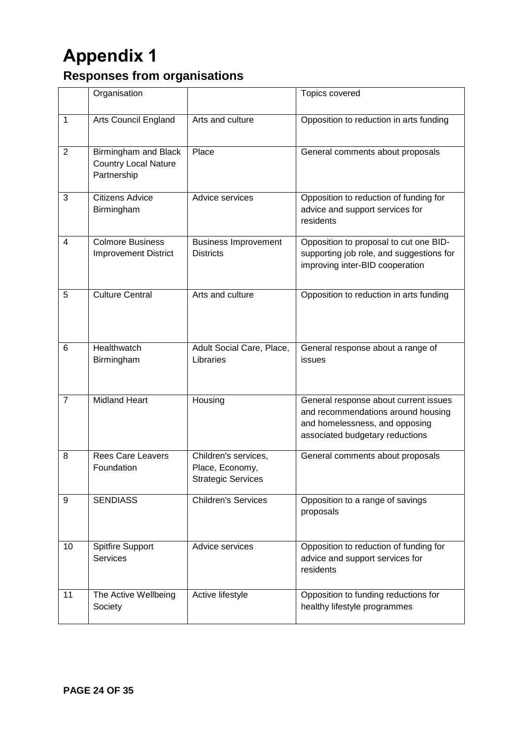### <span id="page-23-0"></span>**Appendix 1 Responses from organisations**

|                | Organisation                                                       |                                                                      | Topics covered                                                                                                                                   |
|----------------|--------------------------------------------------------------------|----------------------------------------------------------------------|--------------------------------------------------------------------------------------------------------------------------------------------------|
| 1              | <b>Arts Council England</b>                                        | Arts and culture                                                     | Opposition to reduction in arts funding                                                                                                          |
| $\overline{2}$ | Birmingham and Black<br><b>Country Local Nature</b><br>Partnership | Place                                                                | General comments about proposals                                                                                                                 |
| 3              | <b>Citizens Advice</b><br>Birmingham                               | Advice services                                                      | Opposition to reduction of funding for<br>advice and support services for<br>residents                                                           |
| 4              | <b>Colmore Business</b><br><b>Improvement District</b>             | <b>Business Improvement</b><br><b>Districts</b>                      | Opposition to proposal to cut one BID-<br>supporting job role, and suggestions for<br>improving inter-BID cooperation                            |
| 5              | <b>Culture Central</b>                                             | Arts and culture                                                     | Opposition to reduction in arts funding                                                                                                          |
| 6              | Healthwatch<br>Birmingham                                          | Adult Social Care, Place,<br>Libraries                               | General response about a range of<br>issues                                                                                                      |
| $\overline{7}$ | <b>Midland Heart</b>                                               | Housing                                                              | General response about current issues<br>and recommendations around housing<br>and homelessness, and opposing<br>associated budgetary reductions |
| 8              | <b>Rees Care Leavers</b><br>Foundation                             | Children's services,<br>Place, Economy,<br><b>Strategic Services</b> | General comments about proposals                                                                                                                 |
| 9              | <b>SENDIASS</b>                                                    | <b>Children's Services</b>                                           | Opposition to a range of savings<br>proposals                                                                                                    |
| 10             | <b>Spitfire Support</b><br><b>Services</b>                         | Advice services                                                      | Opposition to reduction of funding for<br>advice and support services for<br>residents                                                           |
| 11             | The Active Wellbeing<br>Society                                    | Active lifestyle                                                     | Opposition to funding reductions for<br>healthy lifestyle programmes                                                                             |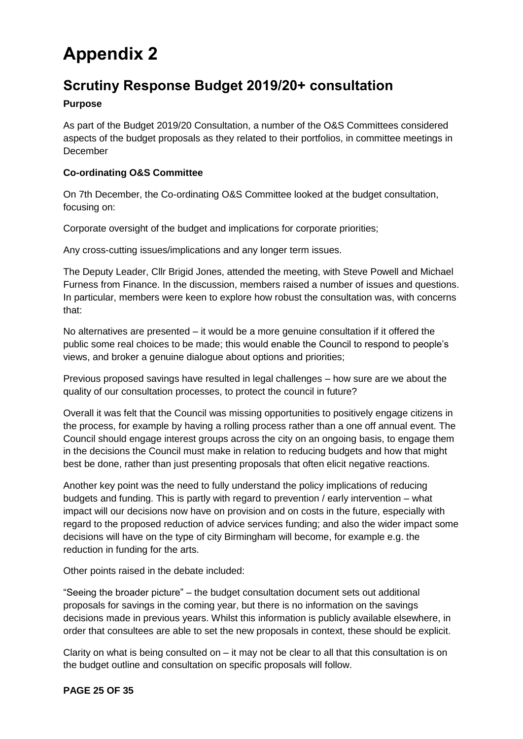### <span id="page-24-0"></span>**Appendix 2**

### **Scrutiny Response Budget 2019/20+ consultation**

### **Purpose**

As part of the Budget 2019/20 Consultation, a number of the O&S Committees considered aspects of the budget proposals as they related to their portfolios, in committee meetings in December

### **Co-ordinating O&S Committee**

On 7th December, the Co-ordinating O&S Committee looked at the budget consultation, focusing on:

Corporate oversight of the budget and implications for corporate priorities:

Any cross-cutting issues/implications and any longer term issues.

The Deputy Leader, Cllr Brigid Jones, attended the meeting, with Steve Powell and Michael Furness from Finance. In the discussion, members raised a number of issues and questions. In particular, members were keen to explore how robust the consultation was, with concerns that:

No alternatives are presented – it would be a more genuine consultation if it offered the public some real choices to be made; this would enable the Council to respond to people's views, and broker a genuine dialogue about options and priorities;

Previous proposed savings have resulted in legal challenges – how sure are we about the quality of our consultation processes, to protect the council in future?

Overall it was felt that the Council was missing opportunities to positively engage citizens in the process, for example by having a rolling process rather than a one off annual event. The Council should engage interest groups across the city on an ongoing basis, to engage them in the decisions the Council must make in relation to reducing budgets and how that might best be done, rather than just presenting proposals that often elicit negative reactions.

Another key point was the need to fully understand the policy implications of reducing budgets and funding. This is partly with regard to prevention / early intervention – what impact will our decisions now have on provision and on costs in the future, especially with regard to the proposed reduction of advice services funding; and also the wider impact some decisions will have on the type of city Birmingham will become, for example e.g. the reduction in funding for the arts.

Other points raised in the debate included:

"Seeing the broader picture" – the budget consultation document sets out additional proposals for savings in the coming year, but there is no information on the savings decisions made in previous years. Whilst this information is publicly available elsewhere, in order that consultees are able to set the new proposals in context, these should be explicit.

Clarity on what is being consulted on  $-$  it may not be clear to all that this consultation is on the budget outline and consultation on specific proposals will follow.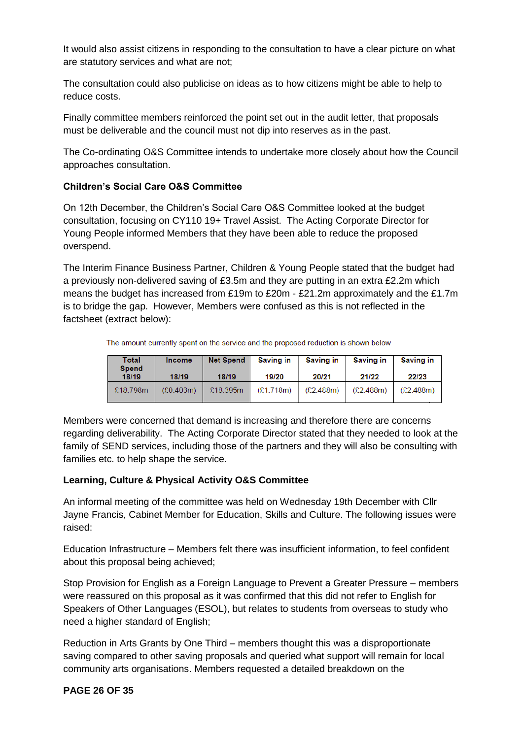It would also assist citizens in responding to the consultation to have a clear picture on what are statutory services and what are not;

The consultation could also publicise on ideas as to how citizens might be able to help to reduce costs.

Finally committee members reinforced the point set out in the audit letter, that proposals must be deliverable and the council must not dip into reserves as in the past.

The Co-ordinating O&S Committee intends to undertake more closely about how the Council approaches consultation.

### **Children's Social Care O&S Committee**

On 12th December, the Children's Social Care O&S Committee looked at the budget consultation, focusing on CY110 19+ Travel Assist. The Acting Corporate Director for Young People informed Members that they have been able to reduce the proposed overspend.

The Interim Finance Business Partner, Children & Young People stated that the budget had a previously non-delivered saving of £3.5m and they are putting in an extra £2.2m which means the budget has increased from £19m to £20m - £21.2m approximately and the £1.7m is to bridge the gap. However, Members were confused as this is not reflected in the factsheet (extract below):

The amount currently spent on the service and the proposed reduction is shown below

| Total<br><b>Spend</b><br>18/19 | <b>Income</b><br>18/19 | <b>Net Spend</b><br>18/19 | <b>Saving in</b><br>19/20 | Saving in<br>20/21 | Saving in<br>21/22 | Saving in<br>22/23 |
|--------------------------------|------------------------|---------------------------|---------------------------|--------------------|--------------------|--------------------|
| £18.798m                       | (E0.403m)              | £18,395m                  | (E1.718m)                 | (E2.488m)          | (E2.488m)          | (E2.488m)          |

Members were concerned that demand is increasing and therefore there are concerns regarding deliverability. The Acting Corporate Director stated that they needed to look at the family of SEND services, including those of the partners and they will also be consulting with families etc. to help shape the service.

### **Learning, Culture & Physical Activity O&S Committee**

An informal meeting of the committee was held on Wednesday 19th December with Cllr Jayne Francis, Cabinet Member for Education, Skills and Culture. The following issues were raised:

Education Infrastructure – Members felt there was insufficient information, to feel confident about this proposal being achieved;

Stop Provision for English as a Foreign Language to Prevent a Greater Pressure – members were reassured on this proposal as it was confirmed that this did not refer to English for Speakers of Other Languages (ESOL), but relates to students from overseas to study who need a higher standard of English;

Reduction in Arts Grants by One Third – members thought this was a disproportionate saving compared to other saving proposals and queried what support will remain for local community arts organisations. Members requested a detailed breakdown on the

### **PAGE 26 OF 35**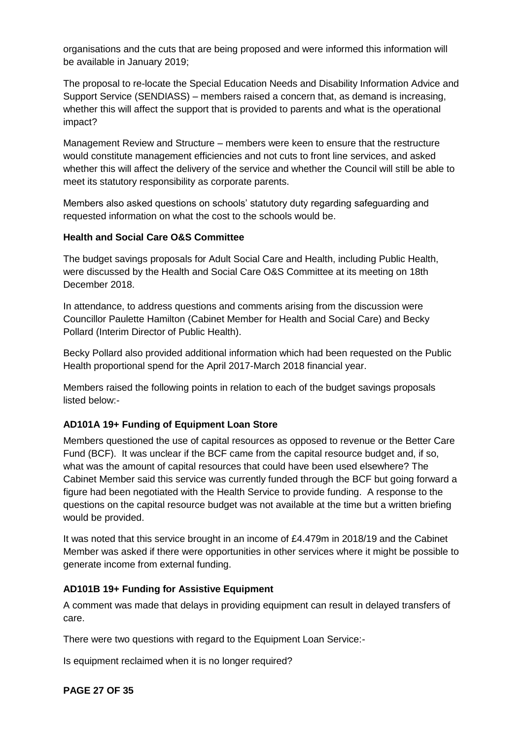organisations and the cuts that are being proposed and were informed this information will be available in January 2019;

The proposal to re-locate the Special Education Needs and Disability Information Advice and Support Service (SENDIASS) – members raised a concern that, as demand is increasing, whether this will affect the support that is provided to parents and what is the operational impact?

Management Review and Structure – members were keen to ensure that the restructure would constitute management efficiencies and not cuts to front line services, and asked whether this will affect the delivery of the service and whether the Council will still be able to meet its statutory responsibility as corporate parents.

Members also asked questions on schools' statutory duty regarding safeguarding and requested information on what the cost to the schools would be.

### **Health and Social Care O&S Committee**

The budget savings proposals for Adult Social Care and Health, including Public Health, were discussed by the Health and Social Care O&S Committee at its meeting on 18th December 2018.

In attendance, to address questions and comments arising from the discussion were Councillor Paulette Hamilton (Cabinet Member for Health and Social Care) and Becky Pollard (Interim Director of Public Health).

Becky Pollard also provided additional information which had been requested on the Public Health proportional spend for the April 2017-March 2018 financial year.

Members raised the following points in relation to each of the budget savings proposals listed below:-

### **AD101A 19+ Funding of Equipment Loan Store**

Members questioned the use of capital resources as opposed to revenue or the Better Care Fund (BCF). It was unclear if the BCF came from the capital resource budget and, if so, what was the amount of capital resources that could have been used elsewhere? The Cabinet Member said this service was currently funded through the BCF but going forward a figure had been negotiated with the Health Service to provide funding. A response to the questions on the capital resource budget was not available at the time but a written briefing would be provided.

It was noted that this service brought in an income of £4.479m in 2018/19 and the Cabinet Member was asked if there were opportunities in other services where it might be possible to generate income from external funding.

### **AD101B 19+ Funding for Assistive Equipment**

A comment was made that delays in providing equipment can result in delayed transfers of care.

There were two questions with regard to the Equipment Loan Service:-

Is equipment reclaimed when it is no longer required?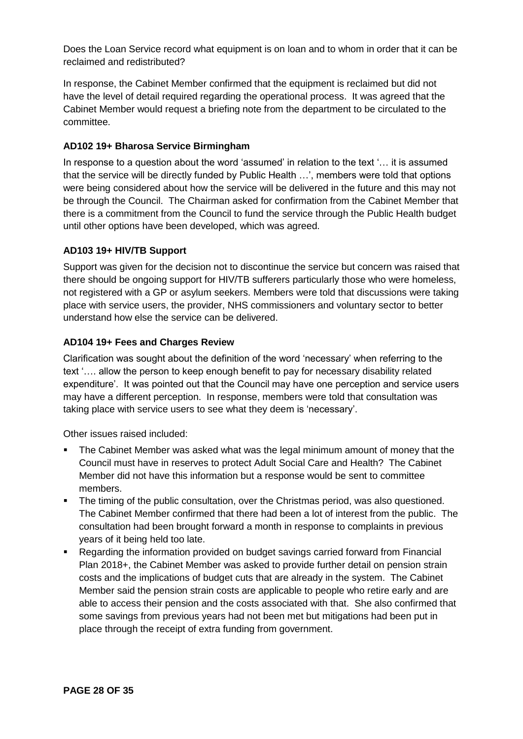Does the Loan Service record what equipment is on loan and to whom in order that it can be reclaimed and redistributed?

In response, the Cabinet Member confirmed that the equipment is reclaimed but did not have the level of detail required regarding the operational process. It was agreed that the Cabinet Member would request a briefing note from the department to be circulated to the committee.

### **AD102 19+ Bharosa Service Birmingham**

In response to a question about the word 'assumed' in relation to the text '… it is assumed that the service will be directly funded by Public Health …', members were told that options were being considered about how the service will be delivered in the future and this may not be through the Council. The Chairman asked for confirmation from the Cabinet Member that there is a commitment from the Council to fund the service through the Public Health budget until other options have been developed, which was agreed.

### **AD103 19+ HIV/TB Support**

Support was given for the decision not to discontinue the service but concern was raised that there should be ongoing support for HIV/TB sufferers particularly those who were homeless, not registered with a GP or asylum seekers. Members were told that discussions were taking place with service users, the provider, NHS commissioners and voluntary sector to better understand how else the service can be delivered.

### **AD104 19+ Fees and Charges Review**

Clarification was sought about the definition of the word 'necessary' when referring to the text '…. allow the person to keep enough benefit to pay for necessary disability related expenditure'. It was pointed out that the Council may have one perception and service users may have a different perception. In response, members were told that consultation was taking place with service users to see what they deem is 'necessary'.

Other issues raised included:

- The Cabinet Member was asked what was the legal minimum amount of money that the Council must have in reserves to protect Adult Social Care and Health? The Cabinet Member did not have this information but a response would be sent to committee members.
- The timing of the public consultation, over the Christmas period, was also questioned. The Cabinet Member confirmed that there had been a lot of interest from the public. The consultation had been brought forward a month in response to complaints in previous years of it being held too late.
- Regarding the information provided on budget savings carried forward from Financial Plan 2018+, the Cabinet Member was asked to provide further detail on pension strain costs and the implications of budget cuts that are already in the system. The Cabinet Member said the pension strain costs are applicable to people who retire early and are able to access their pension and the costs associated with that. She also confirmed that some savings from previous years had not been met but mitigations had been put in place through the receipt of extra funding from government.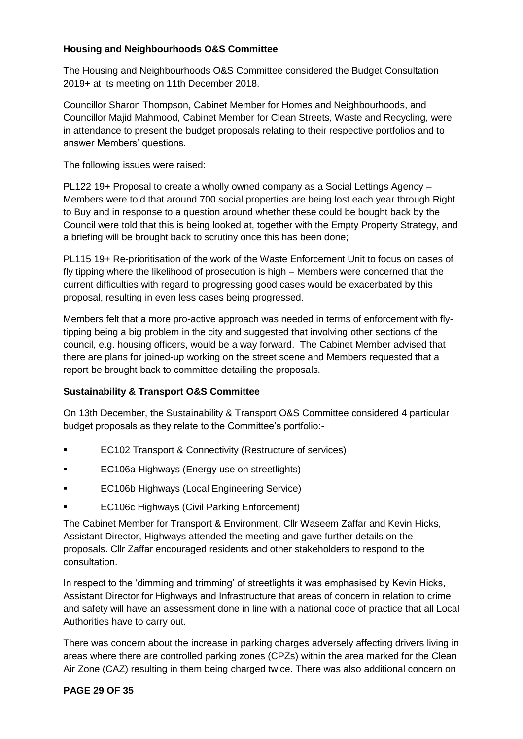### **Housing and Neighbourhoods O&S Committee**

The Housing and Neighbourhoods O&S Committee considered the Budget Consultation 2019+ at its meeting on 11th December 2018.

Councillor Sharon Thompson, Cabinet Member for Homes and Neighbourhoods, and Councillor Majid Mahmood, Cabinet Member for Clean Streets, Waste and Recycling, were in attendance to present the budget proposals relating to their respective portfolios and to answer Members' questions.

The following issues were raised:

PL122 19+ Proposal to create a wholly owned company as a Social Lettings Agency – Members were told that around 700 social properties are being lost each year through Right to Buy and in response to a question around whether these could be bought back by the Council were told that this is being looked at, together with the Empty Property Strategy, and a briefing will be brought back to scrutiny once this has been done;

PL115 19+ Re-prioritisation of the work of the Waste Enforcement Unit to focus on cases of fly tipping where the likelihood of prosecution is high – Members were concerned that the current difficulties with regard to progressing good cases would be exacerbated by this proposal, resulting in even less cases being progressed.

Members felt that a more pro-active approach was needed in terms of enforcement with flytipping being a big problem in the city and suggested that involving other sections of the council, e.g. housing officers, would be a way forward. The Cabinet Member advised that there are plans for joined-up working on the street scene and Members requested that a report be brought back to committee detailing the proposals.

### **Sustainability & Transport O&S Committee**

On 13th December, the Sustainability & Transport O&S Committee considered 4 particular budget proposals as they relate to the Committee's portfolio:-

- **EC102 Transport & Connectivity (Restructure of services)**
- **EC106a Highways (Energy use on streetlights)**
- EC106b Highways (Local Engineering Service)
- EC106c Highways (Civil Parking Enforcement)

The Cabinet Member for Transport & Environment, Cllr Waseem Zaffar and Kevin Hicks, Assistant Director, Highways attended the meeting and gave further details on the proposals. Cllr Zaffar encouraged residents and other stakeholders to respond to the consultation.

In respect to the 'dimming and trimming' of streetlights it was emphasised by Kevin Hicks, Assistant Director for Highways and Infrastructure that areas of concern in relation to crime and safety will have an assessment done in line with a national code of practice that all Local Authorities have to carry out.

There was concern about the increase in parking charges adversely affecting drivers living in areas where there are controlled parking zones (CPZs) within the area marked for the Clean Air Zone (CAZ) resulting in them being charged twice. There was also additional concern on

### **PAGE 29 OF 35**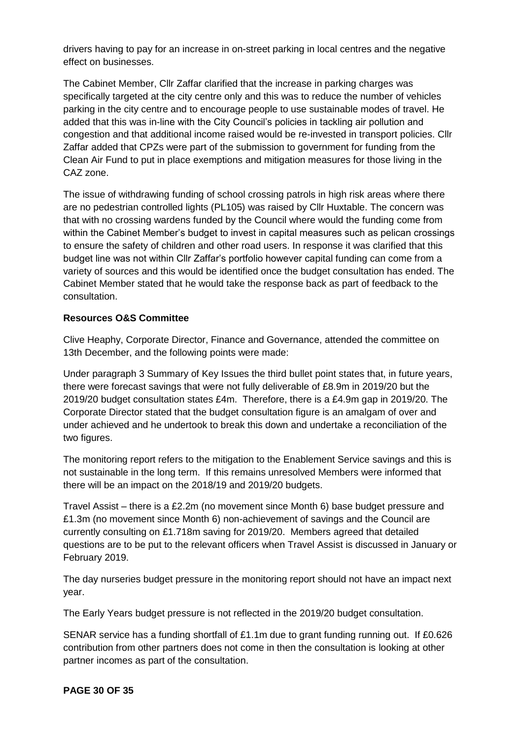drivers having to pay for an increase in on-street parking in local centres and the negative effect on businesses.

The Cabinet Member, Cllr Zaffar clarified that the increase in parking charges was specifically targeted at the city centre only and this was to reduce the number of vehicles parking in the city centre and to encourage people to use sustainable modes of travel. He added that this was in-line with the City Council's policies in tackling air pollution and congestion and that additional income raised would be re-invested in transport policies. Cllr Zaffar added that CPZs were part of the submission to government for funding from the Clean Air Fund to put in place exemptions and mitigation measures for those living in the CAZ zone.

The issue of withdrawing funding of school crossing patrols in high risk areas where there are no pedestrian controlled lights (PL105) was raised by Cllr Huxtable. The concern was that with no crossing wardens funded by the Council where would the funding come from within the Cabinet Member's budget to invest in capital measures such as pelican crossings to ensure the safety of children and other road users. In response it was clarified that this budget line was not within Cllr Zaffar's portfolio however capital funding can come from a variety of sources and this would be identified once the budget consultation has ended. The Cabinet Member stated that he would take the response back as part of feedback to the consultation.

### **Resources O&S Committee**

Clive Heaphy, Corporate Director, Finance and Governance, attended the committee on 13th December, and the following points were made:

Under paragraph 3 Summary of Key Issues the third bullet point states that, in future years, there were forecast savings that were not fully deliverable of £8.9m in 2019/20 but the 2019/20 budget consultation states £4m. Therefore, there is a £4.9m gap in 2019/20. The Corporate Director stated that the budget consultation figure is an amalgam of over and under achieved and he undertook to break this down and undertake a reconciliation of the two figures.

The monitoring report refers to the mitigation to the Enablement Service savings and this is not sustainable in the long term. If this remains unresolved Members were informed that there will be an impact on the 2018/19 and 2019/20 budgets.

Travel Assist – there is a £2.2m (no movement since Month 6) base budget pressure and £1.3m (no movement since Month 6) non-achievement of savings and the Council are currently consulting on £1.718m saving for 2019/20. Members agreed that detailed questions are to be put to the relevant officers when Travel Assist is discussed in January or February 2019.

The day nurseries budget pressure in the monitoring report should not have an impact next year.

The Early Years budget pressure is not reflected in the 2019/20 budget consultation.

SENAR service has a funding shortfall of £1.1m due to grant funding running out. If £0.626 contribution from other partners does not come in then the consultation is looking at other partner incomes as part of the consultation.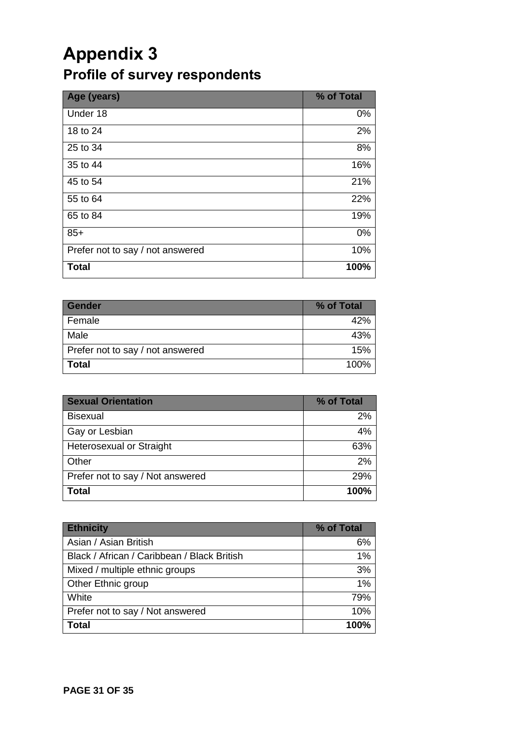### <span id="page-30-0"></span>**Appendix 3 Profile of survey respondents**

| Age (years)                      | % of Total |
|----------------------------------|------------|
| Under 18                         | 0%         |
| 18 to 24                         | 2%         |
| 25 to 34                         | 8%         |
| 35 to 44                         | 16%        |
| 45 to 54                         | 21%        |
| 55 to 64                         | 22%        |
| 65 to 84                         | 19%        |
| $85+$                            | 0%         |
| Prefer not to say / not answered | 10%        |
| <b>Total</b>                     | 100%       |

| Gender                           | % of Total |
|----------------------------------|------------|
| Female                           | 42%        |
| Male                             | 43%        |
| Prefer not to say / not answered | 15%        |
| <b>Total</b>                     | 100%       |

| <b>Sexual Orientation</b>        | % of Total |
|----------------------------------|------------|
| <b>Bisexual</b>                  | 2%         |
| Gay or Lesbian                   | 4%         |
| <b>Heterosexual or Straight</b>  | 63%        |
| Other                            | 2%         |
| Prefer not to say / Not answered | 29%        |
| <b>Total</b>                     | 100%       |

| <b>Ethnicity</b>                            | % of Total |
|---------------------------------------------|------------|
| Asian / Asian British                       | 6%         |
| Black / African / Caribbean / Black British | 1%         |
| Mixed / multiple ethnic groups              | 3%         |
| Other Ethnic group                          | 1%         |
| White                                       | 79%        |
| Prefer not to say / Not answered            | 10%        |
| Total                                       | 100%       |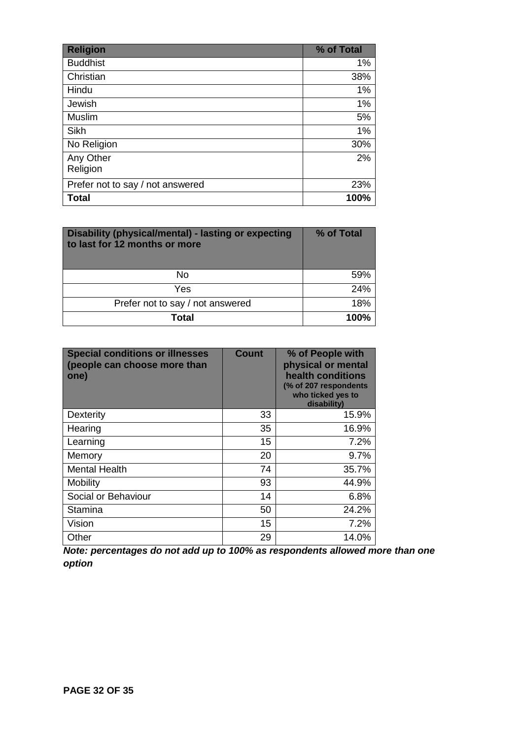| <b>Religion</b>                  | % of Total |
|----------------------------------|------------|
| <b>Buddhist</b>                  | 1%         |
| Christian                        | 38%        |
| Hindu                            | 1%         |
| Jewish                           | 1%         |
| Muslim                           | 5%         |
| Sikh                             | 1%         |
| No Religion                      | 30%        |
| Any Other<br>Religion            | 2%         |
| Prefer not to say / not answered | 23%        |
| <b>Total</b>                     | 100%       |

| Disability (physical/mental) - lasting or expecting<br>to last for 12 months or more | % of Total |  |
|--------------------------------------------------------------------------------------|------------|--|
| No                                                                                   | 59%        |  |
| Yes                                                                                  | 24%        |  |
| Prefer not to say / not answered                                                     | 18%        |  |
| Total                                                                                | 100%       |  |

| <b>Special conditions or illnesses</b><br>(people can choose more than<br>one) | <b>Count</b> | % of People with<br>physical or mental<br>health conditions<br>(% of 207 respondents)<br>who ticked yes to<br>disability) |
|--------------------------------------------------------------------------------|--------------|---------------------------------------------------------------------------------------------------------------------------|
| <b>Dexterity</b>                                                               | 33           | 15.9%                                                                                                                     |
| Hearing                                                                        | 35           | 16.9%                                                                                                                     |
| Learning                                                                       | 15           | 7.2%                                                                                                                      |
| Memory                                                                         | 20           | $9.7\%$                                                                                                                   |
| <b>Mental Health</b>                                                           | 74           | 35.7%                                                                                                                     |
| <b>Mobility</b>                                                                | 93           | 44.9%                                                                                                                     |
| Social or Behaviour                                                            | 14           | 6.8%                                                                                                                      |
| Stamina                                                                        | 50           | 24.2%                                                                                                                     |
| Vision                                                                         | 15           | 7.2%                                                                                                                      |
| Other                                                                          | 29           | 14.0%                                                                                                                     |

*Note: percentages do not add up to 100% as respondents allowed more than one option*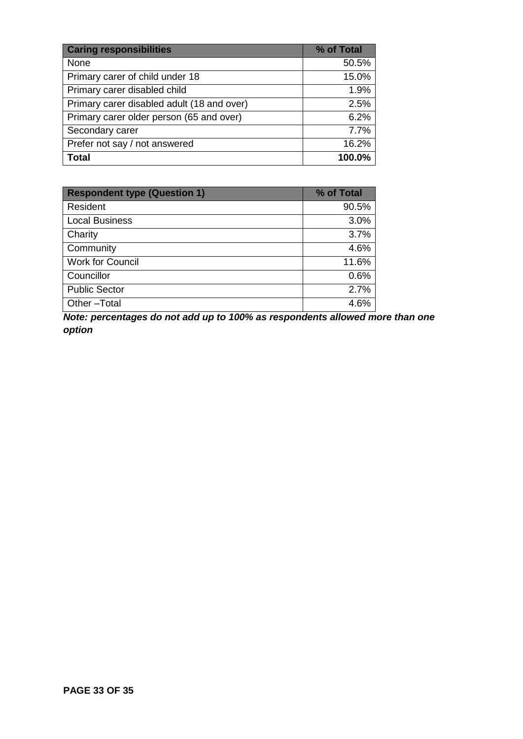| <b>Caring responsibilities</b>             | % of Total |
|--------------------------------------------|------------|
| None                                       | 50.5%      |
| Primary carer of child under 18            | 15.0%      |
| Primary carer disabled child               | 1.9%       |
| Primary carer disabled adult (18 and over) | 2.5%       |
| Primary carer older person (65 and over)   | 6.2%       |
| Secondary carer                            | 7.7%       |
| Prefer not say / not answered              | 16.2%      |
| <b>Total</b>                               | 100.0%     |

| <b>Respondent type (Question 1)</b> | % of Total |
|-------------------------------------|------------|
| Resident                            | 90.5%      |
| <b>Local Business</b>               | 3.0%       |
| Charity                             | 3.7%       |
| Community                           | 4.6%       |
| <b>Work for Council</b>             | 11.6%      |
| Councillor                          | 0.6%       |
| <b>Public Sector</b>                | 2.7%       |
| Other-Total                         | 4.6%       |

*Note: percentages do not add up to 100% as respondents allowed more than one option*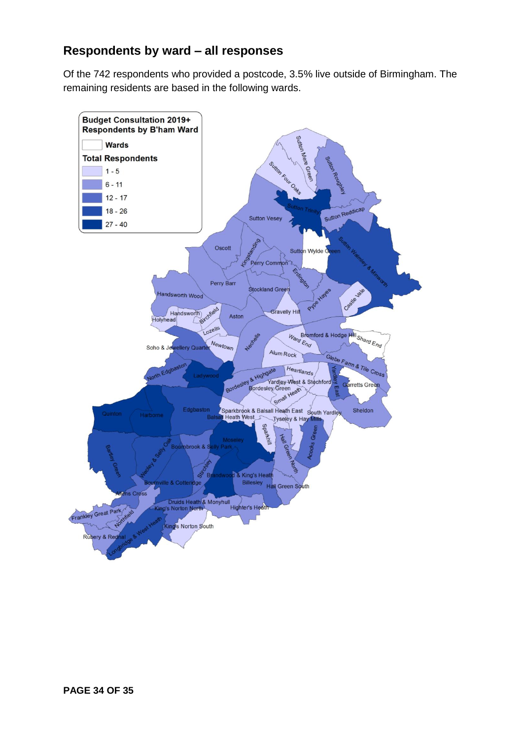### **Respondents by ward – all responses**

Of the 742 respondents who provided a postcode, 3.5% live outside of Birmingham. The remaining residents are based in the following wards.